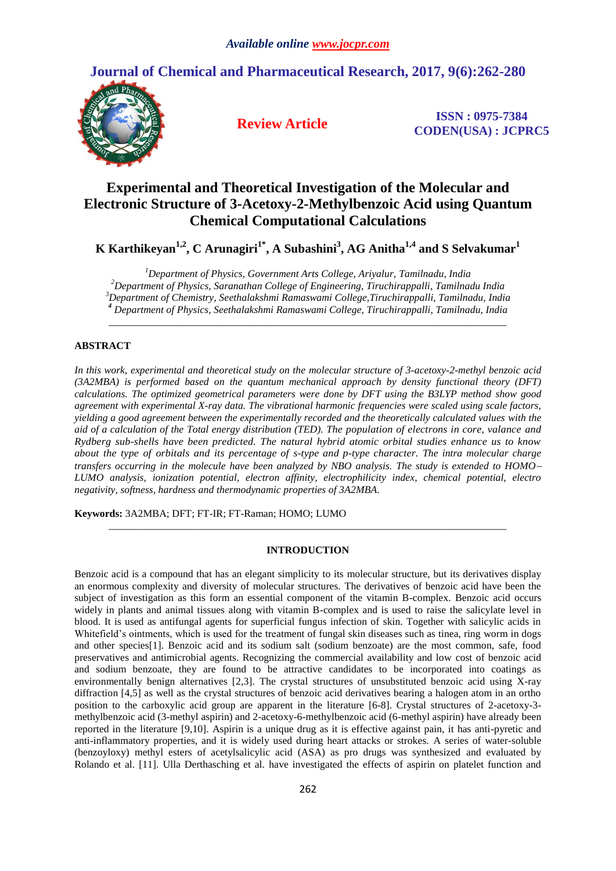# **Journal of Chemical and Pharmaceutical Research, 2017, 9(6):262-280**



**Review Article ISSN : 0975-7384 CODEN(USA) : JCPRC5**

# **Experimental and Theoretical Investigation of the Molecular and Electronic Structure of 3-Acetoxy-2-Methylbenzoic Acid using Quantum Chemical Computational Calculations**

**K Karthikeyan1,2 , C Arunagiri1\* , A Subashini<sup>3</sup> , AG Anitha1,4 and S Selvakumar<sup>1</sup>**

*Department of Physics, Government Arts College, Ariyalur, Tamilnadu, India Department of Physics, Saranathan College of Engineering, Tiruchirappalli, Tamilnadu India Department of Chemistry, Seethalakshmi Ramaswami College,Tiruchirappalli, Tamilnadu, India Department of Physics, Seethalakshmi Ramaswami College, Tiruchirappalli, Tamilnadu, India*

*\_\_\_\_\_\_\_\_\_\_\_\_\_\_\_\_\_\_\_\_\_\_\_\_\_\_\_\_\_\_\_\_\_\_\_\_\_\_\_\_\_\_\_\_\_\_\_\_\_\_\_\_\_\_\_\_\_\_\_\_\_\_\_\_\_\_\_\_\_\_\_\_\_\_\_\_\_*

# **ABSTRACT**

*In this work, experimental and theoretical study on the molecular structure of 3-acetoxy-2-methyl benzoic acid (3A2MBA) is performed based on the quantum mechanical approach by density functional theory (DFT) calculations. The optimized geometrical parameters were done by DFT using the B3LYP method show good agreement with experimental X-ray data. The vibrational harmonic frequencies were scaled using scale factors, yielding a good agreement between the experimentally recorded and the theoretically calculated values with the aid of a calculation of the Total energy distribution (TED). The population of electrons in core, valance and Rydberg sub-shells have been predicted. The natural hybrid atomic orbital studies enhance us to know about the type of orbitals and its percentage of s-type and p-type character. The intra molecular charge transfers occurring in the molecule have been analyzed by NBO analysis. The study is extended to HOMO LUMO analysis, ionization potential, electron affinity, electrophilicity index, chemical potential, electro negativity, softness, hardness and thermodynamic properties of 3A2MBA.*

**Keywords:** 3A2MBA; DFT; FT-IR; FT-Raman; HOMO; LUMO

# **INTRODUCTION**

*\_\_\_\_\_\_\_\_\_\_\_\_\_\_\_\_\_\_\_\_\_\_\_\_\_\_\_\_\_\_\_\_\_\_\_\_\_\_\_\_\_\_\_\_\_\_\_\_\_\_\_\_\_\_\_\_\_\_\_\_\_\_\_\_\_\_\_\_\_\_\_\_\_\_\_\_\_*

Benzoic acid is a compound that has an elegant simplicity to its molecular structure, but its derivatives display an enormous complexity and diversity of molecular structures. The derivatives of benzoic acid have been the subject of investigation as this form an essential component of the vitamin B-complex. Benzoic acid occurs widely in plants and animal tissues along with vitamin B-complex and is used to raise the salicylate level in blood. It is used as antifungal agents for superficial fungus infection of skin. Together with salicylic acids in Whitefield's ointments, which is used for the treatment of fungal skin diseases such as tinea, ring worm in dogs and other species[1]. Benzoic acid and its sodium salt (sodium benzoate) are the most common, safe, food preservatives and antimicrobial agents. Recognizing the commercial availability and low cost of benzoic acid and sodium benzoate, they are found to be attractive candidates to be incorporated into coatings as environmentally benign alternatives [2,3]. The crystal structures of unsubstituted benzoic acid using X-ray diffraction [4,5] as well as the crystal structures of benzoic acid derivatives bearing a halogen atom in an ortho position to the carboxylic acid group are apparent in the literature [6-8]. Crystal structures of 2-acetoxy-3 methylbenzoic acid (3-methyl aspirin) and 2-acetoxy-6-methylbenzoic acid (6-methyl aspirin) have already been reported in the literature [9,10]. Aspirin is a unique drug as it is effective against pain, it has anti-pyretic and anti-inflammatory properties, and it is widely used during heart attacks or strokes. A series of water-soluble (benzoyloxy) methyl esters of acetylsalicylic acid (ASA) as pro drugs was synthesized and evaluated by Rolando et al. [11]. Ulla Derthasching et al. have investigated the effects of aspirin on platelet function and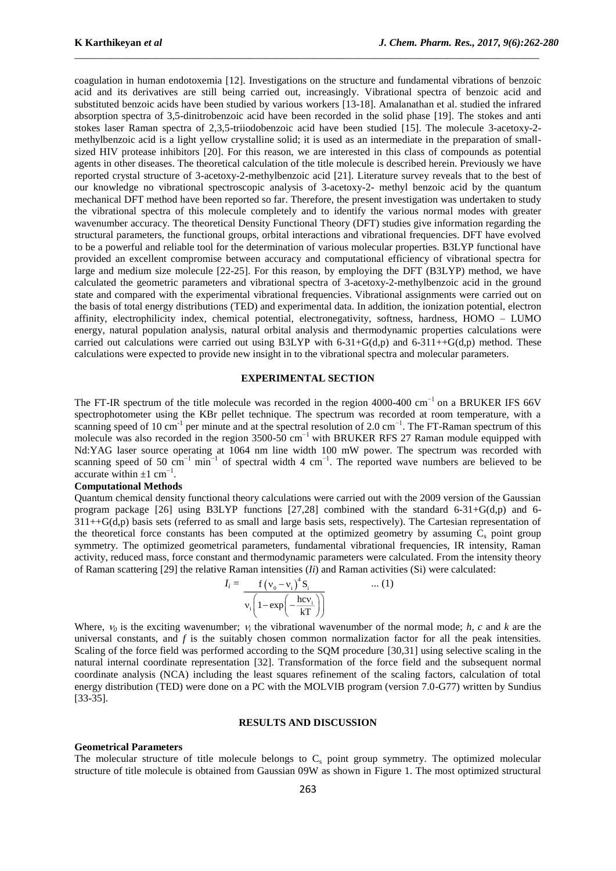coagulation in human endotoxemia [12]. Investigations on the structure and fundamental vibrations of benzoic acid and its derivatives are still being carried out, increasingly. Vibrational spectra of benzoic acid and substituted benzoic acids have been studied by various workers [13-18]. Amalanathan et al. studied the infrared absorption spectra of 3,5-dinitrobenzoic acid have been recorded in the solid phase [19]. The stokes and anti stokes laser Raman spectra of 2,3,5-triiodobenzoic acid have been studied [15]. The molecule 3-acetoxy-2 methylbenzoic acid is a light yellow crystalline solid; it is used as an intermediate in the preparation of smallsized HIV protease inhibitors [20]. For this reason, we are interested in this class of compounds as potential agents in other diseases. The theoretical calculation of the title molecule is described herein. Previously we have reported crystal structure of 3-acetoxy-2-methylbenzoic acid [21]. Literature survey reveals that to the best of our knowledge no vibrational spectroscopic analysis of 3-acetoxy-2- methyl benzoic acid by the quantum mechanical DFT method have been reported so far. Therefore, the present investigation was undertaken to study the vibrational spectra of this molecule completely and to identify the various normal modes with greater wavenumber accuracy. The theoretical Density Functional Theory (DFT) studies give information regarding the structural parameters, the functional groups, orbital interactions and vibrational frequencies. DFT have evolved to be a powerful and reliable tool for the determination of various molecular properties. B3LYP functional have provided an excellent compromise between accuracy and computational efficiency of vibrational spectra for large and medium size molecule [22-25]. For this reason, by employing the DFT (B3LYP) method, we have calculated the geometric parameters and vibrational spectra of 3-acetoxy-2-methylbenzoic acid in the ground state and compared with the experimental vibrational frequencies. Vibrational assignments were carried out on the basis of total energy distributions (TED) and experimental data. In addition, the ionization potential, electron affinity, electrophilicity index, chemical potential, electronegativity, softness, hardness, HOMO – LUMO energy, natural population analysis, natural orbital analysis and thermodynamic properties calculations were carried out calculations were carried out using B3LYP with 6-31+G(d,p) and 6-311++G(d,p) method. These calculations were expected to provide new insight in to the vibrational spectra and molecular parameters.

\_\_\_\_\_\_\_\_\_\_\_\_\_\_\_\_\_\_\_\_\_\_\_\_\_\_\_\_\_\_\_\_\_\_\_\_\_\_\_\_\_\_\_\_\_\_\_\_\_\_\_\_\_\_\_\_\_\_\_\_\_\_\_\_\_\_\_\_\_\_\_\_\_\_\_\_\_\_\_\_\_\_\_\_\_\_\_\_\_\_

## **EXPERIMENTAL SECTION**

The FT-IR spectrum of the title molecule was recorded in the region 4000-400 cm<sup>-1</sup> on a BRUKER IFS 66V spectrophotometer using the KBr pellet technique. The spectrum was recorded at room temperature, with a scanning speed of 10 cm<sup>-1</sup> per minute and at the spectral resolution of 2.0 cm<sup>-1</sup>. The FT-Raman spectrum of this molecule was also recorded in the region 3500-50 cm<sup>-1</sup> with BRUKER RFS 27 Raman module equipped with Nd:YAG laser source operating at 1064 nm line width 100 mW power. The spectrum was recorded with scanning speed of 50 cm<sup>-1</sup> min<sup>-1</sup> of spectral width 4 cm<sup>-1</sup>. The reported wave numbers are believed to be accurate within  $\pm 1$  cm<sup>-1</sup>.

# **Computational Methods**

Quantum chemical density functional theory calculations were carried out with the 2009 version of the Gaussian program package [26] using B3LYP functions [27,28] combined with the standard 6-31+G(d,p) and 6-  $311++G(d,p)$  basis sets (referred to as small and large basis sets, respectively). The Cartesian representation of the theoretical force constants has been computed at the optimized geometry by assuming  $C_s$  point group symmetry. The optimized geometrical parameters, fundamental vibrational frequencies, IR intensity, Raman activity, reduced mass, force constant and thermodynamic parameters were calculated. From the intensity theory of Raman scattering [29] the relative Raman intensities (*Ii*) and Raman activities (Si) were calculated:

$$
I_i = \frac{f(v_0 - v_i)^4 S_i}{v_i \left(1 - \exp\left(-\frac{hc v_i}{kT}\right)\right)}
$$
 ... (1)

Where,  $v_0$  is the exciting wavenumber;  $v_i$  the vibrational wavenumber of the normal mode; *h, c* and *k* are the universal constants, and *f* is the suitably chosen common normalization factor for all the peak intensities. Scaling of the force field was performed according to the SQM procedure [30,31] using selective scaling in the natural internal coordinate representation [32]. Transformation of the force field and the subsequent normal coordinate analysis (NCA) including the least squares refinement of the scaling factors, calculation of total energy distribution (TED) were done on a PC with the MOLVIB program (version 7.0-G77) written by Sundius [33-35].

#### **RESULTS AND DISCUSSION**

#### **Geometrical Parameters**

The molecular structure of title molecule belongs to  $C_s$  point group symmetry. The optimized molecular structure of title molecule is obtained from Gaussian 09W as shown in Figure 1. The most optimized structural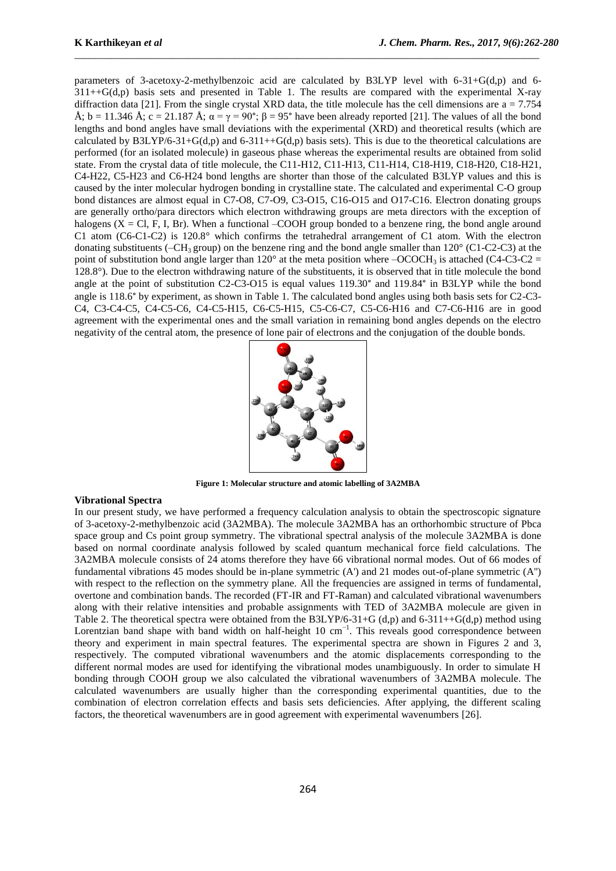parameters of 3-acetoxy-2-methylbenzoic acid are calculated by B3LYP level with 6-31+G(d,p) and 6-  $311++G(d,p)$  basis sets and presented in Table 1. The results are compared with the experimental X-ray diffraction data [21]. From the single crystal XRD data, the title molecule has the cell dimensions are  $a = 7.754$ Å; b = 11.346 Å; c = 21.187 Å;  $\alpha = \gamma = 90^{\circ}$ ;  $\beta = 95^{\circ}$  have been already reported [21]. The values of all the bond lengths and bond angles have small deviations with the experimental (XRD) and theoretical results (which are calculated by B3LYP/6-31+G(d,p) and 6-311++G(d,p) basis sets). This is due to the theoretical calculations are performed (for an isolated molecule) in gaseous phase whereas the experimental results are obtained from solid state. From the crystal data of title molecule, the C11-H12, C11-H13, C11-H14, C18-H19, C18-H20, C18-H21, C4-H22, C5-H23 and C6-H24 bond lengths are shorter than those of the calculated B3LYP values and this is caused by the inter molecular hydrogen bonding in crystalline state. The calculated and experimental C-O group bond distances are almost equal in C7-O8, C7-O9, C3-O15, C16-O15 and O17-C16. Electron donating groups are generally ortho/para directors which electron withdrawing groups are meta directors with the exception of halogens ( $X = CL$ , F, I, Br). When a functional –COOH group bonded to a benzene ring, the bond angle around C1 atom (C6-C1-C2) is 120.8° which confirms the tetrahedral arrangement of C1 atom. With the electron donating substituents (–CH<sub>3</sub> group) on the benzene ring and the bond angle smaller than  $120^{\circ}$  (C1-C2-C3) at the point of substitution bond angle larger than  $120^{\circ}$  at the meta position where  $-OCOCH_3$  is attached (C4-C3-C2 = 128.8°). Due to the electron withdrawing nature of the substituents, it is observed that in title molecule the bond angle at the point of substitution C2-C3-O15 is equal values 119.30° and 119.84° in B3LYP while the bond angle is 118.6° by experiment, as shown in Table 1. The calculated bond angles using both basis sets for C2-C3- C4, C3-C4-C5, C4-C5-C6, C4-C5-H15, C6-C5-H15, C5-C6-C7, C5-C6-H16 and C7-C6-H16 are in good agreement with the experimental ones and the small variation in remaining bond angles depends on the electro negativity of the central atom, the presence of lone pair of electrons and the conjugation of the double bonds.

\_\_\_\_\_\_\_\_\_\_\_\_\_\_\_\_\_\_\_\_\_\_\_\_\_\_\_\_\_\_\_\_\_\_\_\_\_\_\_\_\_\_\_\_\_\_\_\_\_\_\_\_\_\_\_\_\_\_\_\_\_\_\_\_\_\_\_\_\_\_\_\_\_\_\_\_\_\_\_\_\_\_\_\_\_\_\_\_\_\_



**Figure 1: Molecular structure and atomic labelling of 3A2MBA**

#### **Vibrational Spectra**

In our present study, we have performed a frequency calculation analysis to obtain the spectroscopic signature of 3-acetoxy-2-methylbenzoic acid (3A2MBA). The molecule 3A2MBA has an orthorhombic structure of Pbca space group and Cs point group symmetry. The vibrational spectral analysis of the molecule 3A2MBA is done based on normal coordinate analysis followed by scaled quantum mechanical force field calculations. The 3A2MBA molecule consists of 24 atoms therefore they have 66 vibrational normal modes. Out of 66 modes of fundamental vibrations 45 modes should be in-plane symmetric (A') and 21 modes out-of-plane symmetric (A'') with respect to the reflection on the symmetry plane. All the frequencies are assigned in terms of fundamental, overtone and combination bands. The recorded (FT-IR and FT-Raman) and calculated vibrational wavenumbers along with their relative intensities and probable assignments with TED of 3A2MBA molecule are given in Table 2. The theoretical spectra were obtained from the B3LYP/6-31+G (d,p) and 6-311++G(d,p) method using Lorentzian band shape with band width on half-height 10 cm<sup>-1</sup>. This reveals good correspondence between theory and experiment in main spectral features. The experimental spectra are shown in Figures 2 and 3, respectively. The computed vibrational wavenumbers and the atomic displacements corresponding to the different normal modes are used for identifying the vibrational modes unambiguously. In order to simulate H bonding through COOH group we also calculated the vibrational wavenumbers of 3A2MBA molecule. The calculated wavenumbers are usually higher than the corresponding experimental quantities, due to the combination of electron correlation effects and basis sets deficiencies. After applying, the different scaling factors, the theoretical wavenumbers are in good agreement with experimental wavenumbers [26].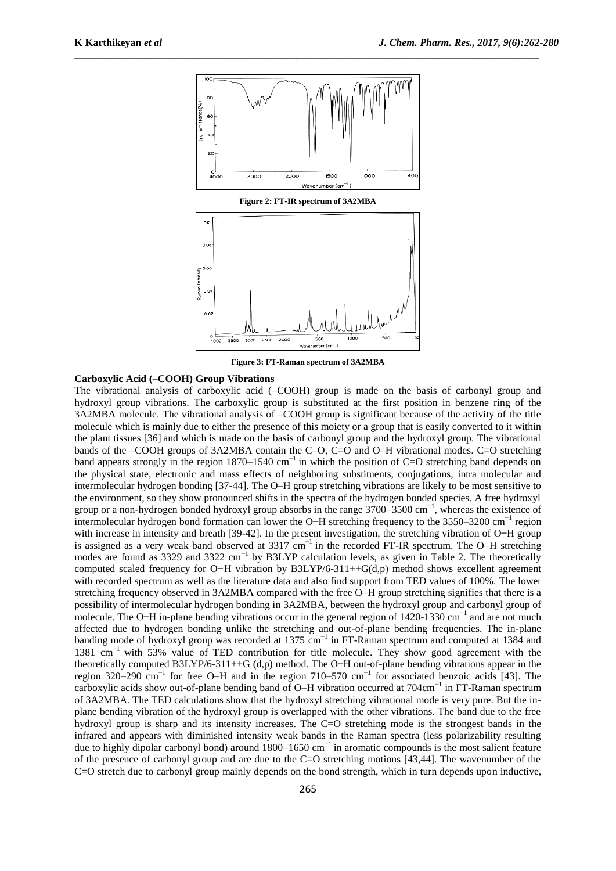

**Figure 2: FT-IR spectrum of 3A2MBA**



**Figure 3: FT-Raman spectrum of 3A2MBA**

## **Carboxylic Acid (–COOH) Group Vibrations**

The vibrational analysis of carboxylic acid (–COOH) group is made on the basis of carbonyl group and hydroxyl group vibrations. The carboxylic group is substituted at the first position in benzene ring of the 3A2MBA molecule. The vibrational analysis of –COOH group is significant because of the activity of the title molecule which is mainly due to either the presence of this moiety or a group that is easily converted to it within the plant tissues [36] and which is made on the basis of carbonyl group and the hydroxyl group. The vibrational bands of the –COOH groups of 3A2MBA contain the C–O, C=O and O–H vibrational modes. C=O stretching band appears strongly in the region 1870–1540 cm<sup>-1</sup> in which the position of C=O stretching band depends on the physical state, electronic and mass effects of neighboring substituents, conjugations, intra molecular and intermolecular hydrogen bonding [37-44]. The O–H group stretching vibrations are likely to be most sensitive to the environment, so they show pronounced shifts in the spectra of the hydrogen bonded species. A free hydroxyl group or a non-hydrogen bonded hydroxyl group absorbs in the range 3700–3500 cm<sup>-1</sup>, whereas the existence of intermolecular hydrogen bond formation can lower the O–H stretching frequency to the 3550–3200 cm<sup>-1</sup> region with increase in intensity and breath  $[39-42]$ . In the present investigation, the stretching vibration of O-H group is assigned as a very weak band observed at 3317 cm−1 in the recorded FT-IR spectrum. The O–H stretching modes are found as 3329 and 3322 cm<sup>-1</sup> by B3LYP calculation levels, as given in Table 2. The theoretically computed scaled frequency for  $O-H$  vibration by B3LYP/6-311++G(d,p) method shows excellent agreement with recorded spectrum as well as the literature data and also find support from TED values of 100%. The lower stretching frequency observed in 3A2MBA compared with the free O–H group stretching signifies that there is a possibility of intermolecular hydrogen bonding in 3A2MBA, between the hydroxyl group and carbonyl group of molecule. The O-H in-plane bending vibrations occur in the general region of 1420-1330 cm<sup>-1</sup> and are not much affected due to hydrogen bonding unlike the stretching and out-of-plane bending frequencies. The in-plane banding mode of hydroxyl group was recorded at 1375 cm<sup>-1</sup> in FT-Raman spectrum and computed at 1384 and 1381 cm−1 with 53% value of TED contribution for title molecule. They show good agreement with the theoretically computed B3LYP/6-311++G (d,p) method. The O-H out-of-plane bending vibrations appear in the region 320–290 cm<sup>-1</sup> for free O–H and in the region 710–570 cm<sup>-1</sup> for associated benzoic acids [43]. The carboxylic acids show out-of-plane bending band of O–H vibration occurred at 704cm<sup>-1</sup> in FT-Raman spectrum of 3A2MBA. The TED calculations show that the hydroxyl stretching vibrational mode is very pure. But the inplane bending vibration of the hydroxyl group is overlapped with the other vibrations. The band due to the free hydroxyl group is sharp and its intensity increases. The C=O stretching mode is the strongest bands in the infrared and appears with diminished intensity weak bands in the Raman spectra (less polarizability resulting due to highly dipolar carbonyl bond) around 1800–1650 cm−1 in aromatic compounds is the most salient feature of the presence of carbonyl group and are due to the C=O stretching motions [43,44]. The wavenumber of the C=O stretch due to carbonyl group mainly depends on the bond strength, which in turn depends upon inductive,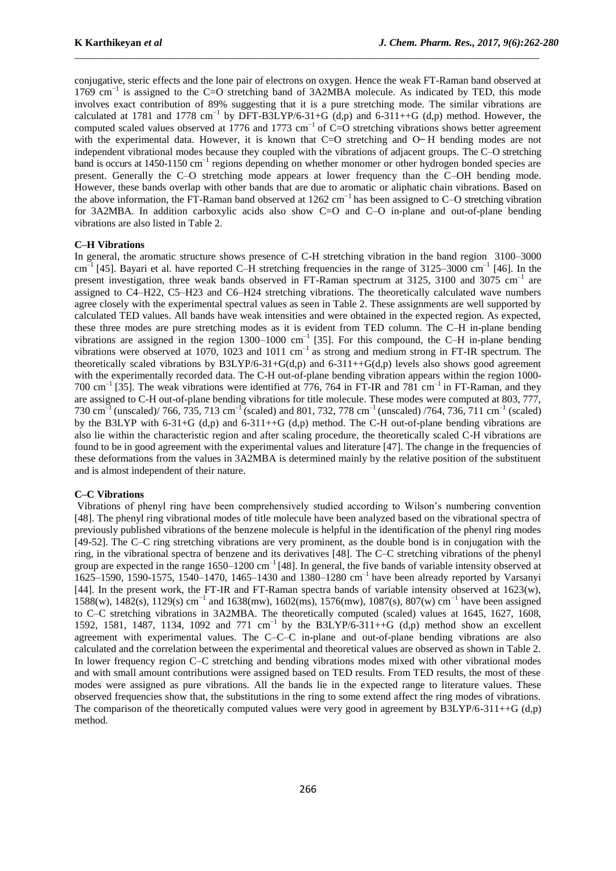conjugative, steric effects and the lone pair of electrons on oxygen. Hence the weak FT-Raman band observed at 1769 cm−1 is assigned to the C=O stretching band of 3A2MBA molecule. As indicated by TED, this mode involves exact contribution of 89% suggesting that it is a pure stretching mode. The similar vibrations are calculated at 1781 and 1778 cm<sup>-1</sup> by DFT-B3LYP/6-31+G (d,p) and 6-311++G (d,p) method. However, the computed scaled values observed at 1776 and 1773 cm<sup>-1</sup> of C=O stretching vibrations shows better agreement with the experimental data. However, it is known that  $C=O$  stretching and  $O-H$  bending modes are not independent vibrational modes because they coupled with the vibrations of adjacent groups. The C–O stretching band is occurs at 1450-1150 cm<sup>-1</sup> regions depending on whether monomer or other hydrogen bonded species are present. Generally the C–O stretching mode appears at lower frequency than the C–OH bending mode. However, these bands overlap with other bands that are due to aromatic or aliphatic chain vibrations. Based on the above information, the FT-Raman band observed at 1262 cm−1 has been assigned to C–O stretching vibration for 3A2MBA. In addition carboxylic acids also show C=O and C–O in-plane and out-of-plane bending vibrations are also listed in Table 2.

\_\_\_\_\_\_\_\_\_\_\_\_\_\_\_\_\_\_\_\_\_\_\_\_\_\_\_\_\_\_\_\_\_\_\_\_\_\_\_\_\_\_\_\_\_\_\_\_\_\_\_\_\_\_\_\_\_\_\_\_\_\_\_\_\_\_\_\_\_\_\_\_\_\_\_\_\_\_\_\_\_\_\_\_\_\_\_\_\_\_

# **C–H Vibrations**

In general, the aromatic structure shows presence of C-H stretching vibration in the band region 3100–3000  $\text{cm}^{-1}$  [45]. Bayari et al. have reported C–H stretching frequencies in the range of 3125–3000  $\text{cm}^{-1}$  [46]. In the present investigation, three weak bands observed in FT-Raman spectrum at 3125, 3100 and 3075 cm<sup>-1</sup> are assigned to C4–H22, C5–H23 and C6–H24 stretching vibrations. The theoretically calculated wave numbers agree closely with the experimental spectral values as seen in Table 2. These assignments are well supported by calculated TED values. All bands have weak intensities and were obtained in the expected region. As expected, these three modes are pure stretching modes as it is evident from TED column. The C–H in-plane bending vibrations are assigned in the region  $1300-1000$  cm<sup>-1</sup> [35]. For this compound, the C–H in-plane bending vibrations were observed at 1070, 1023 and 1011 cm<sup>-1</sup> as strong and medium strong in FT-IR spectrum. The theoretically scaled vibrations by  $B3LYP/6-31+G(d,p)$  and  $6-311++G(d,p)$  levels also shows good agreement with the experimentally recorded data. The C-H out-of-plane bending vibration appears within the region 1000- 700 cm<sup>-1</sup> [35]. The weak vibrations were identified at 776, 764 in FT-IR and 781 cm<sup>-1</sup> in FT-Raman, and they are assigned to C-H out-of-plane bending vibrations for title molecule. These modes were computed at 803, 777, 730 cm<sup>-1</sup> (unscaled)/ 766, 735, 713 cm<sup>-1</sup> (scaled) and 801, 732, 778 cm<sup>-1</sup> (unscaled) /764, 736, 711 cm<sup>-1</sup> (scaled) by the B3LYP with 6-31+G (d,p) and 6-311++G (d,p) method. The C-H out-of-plane bending vibrations are also lie within the characteristic region and after scaling procedure, the theoretically scaled C-H vibrations are found to be in good agreement with the experimental values and literature [47]. The change in the frequencies of these deformations from the values in 3A2MBA is determined mainly by the relative position of the substituent and is almost independent of their nature.

#### **C–C Vibrations**

Vibrations of phenyl ring have been comprehensively studied according to Wilson's numbering convention [48]. The phenyl ring vibrational modes of title molecule have been analyzed based on the vibrational spectra of previously published vibrations of the benzene molecule is helpful in the identification of the phenyl ring modes [49-52]. The C–C ring stretching vibrations are very prominent, as the double bond is in conjugation with the ring, in the vibrational spectra of benzene and its derivatives [48]. The C–C stretching vibrations of the phenyl group are expected in the range  $1650-1200 \text{ cm}^{-1}$  [48]. In general, the five bands of variable intensity observed at 1625–1590, 1590-1575, 1540–1470, 1465–1430 and 1380–1280 cm–1 have been already reported by Varsanyi [44]. In the present work, the FT-IR and FT-Raman spectra bands of variable intensity observed at 1623(w), 1588(w), 1482(s), 1129(s) cm−1 and 1638(mw), 1602(ms), 1576(mw), 1087(s), 807(w) cm−1 have been assigned to C–C stretching vibrations in 3A2MBA. The theoretically computed (scaled) values at 1645, 1627, 1608, 1592, 1581, 1487, 1134, 1092 and 771 cm−1 by the B3LYP/6-311++G (d,p) method show an excellent agreement with experimental values. The C–C–C in-plane and out-of-plane bending vibrations are also calculated and the correlation between the experimental and theoretical values are observed as shown in Table 2. In lower frequency region C–C stretching and bending vibrations modes mixed with other vibrational modes and with small amount contributions were assigned based on TED results. From TED results, the most of these modes were assigned as pure vibrations. All the bands lie in the expected range to literature values. These observed frequencies show that, the substitutions in the ring to some extend affect the ring modes of vibrations. The comparison of the theoretically computed values were very good in agreement by  $B3LYP/6-311++G$  (d,p) method.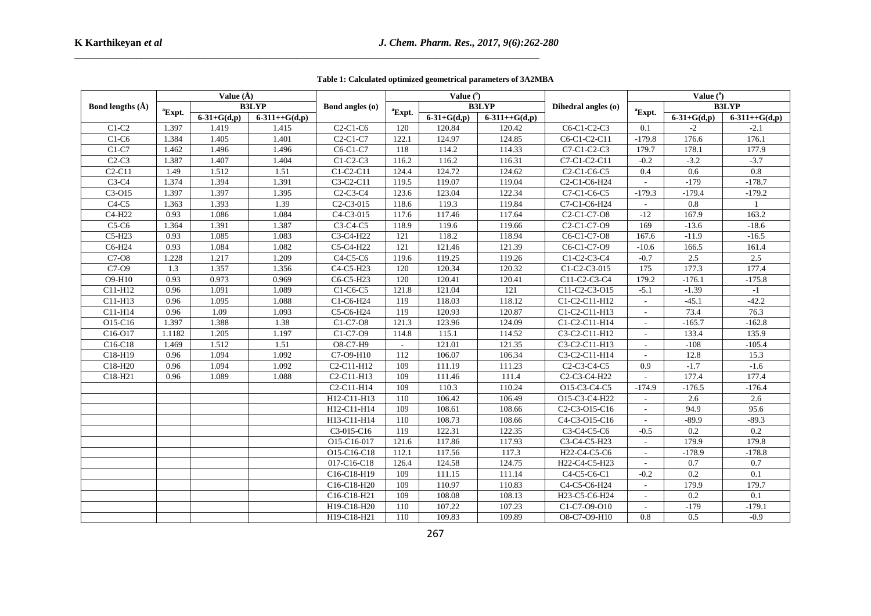|                                   |                    | Value $(\AA)$     |                 |                                                  |                    | Value $(°)$       |                 |                                                                  |                          | Value $(°)$       |                 |
|-----------------------------------|--------------------|-------------------|-----------------|--------------------------------------------------|--------------------|-------------------|-----------------|------------------------------------------------------------------|--------------------------|-------------------|-----------------|
| Bond lengths $(\AA)$              |                    |                   | <b>B3LYP</b>    | Bond angles (o)                                  |                    |                   | <b>B3LYP</b>    | Dihedral angles (o)                                              |                          |                   | <b>B3LYP</b>    |
|                                   | <sup>a</sup> Expt. | $6 - 31 + G(d,p)$ | $6-311++G(d,p)$ |                                                  | <sup>a</sup> Expt. | $6 - 31 + G(d,p)$ | $6-311++G(d,p)$ |                                                                  | <sup>a</sup> Expt.       | $6 - 31 + G(d,p)$ | $6-311++G(d,p)$ |
| $C1-C2$                           | 1.397              | 1.419             | 1.415           | $C2-C1-C6$                                       | 120                | 120.84            | 120.42          | $C6-C1-C2-C3$                                                    | 0.1                      | $-2$              | $-2.1$          |
| $C1-C6$                           | 1.384              | 1.405             | 1.401           | $C2-C1-C7$                                       | 122.1              | 124.97            | 124.85          | C6-C1-C2-C11                                                     | $-179.8$                 | 176.6             | 176.1           |
| $C1-C7$                           | 1.462              | 1.496             | 1.496           | C6-C1-C7                                         | 118                | 114.2             | 114.33          | C7-C1-C2-C3                                                      | 179.7                    | 178.1             | 177.9           |
| $C2-C3$                           | 1.387              | 1.407             | 1.404           | $C1-C2-C3$                                       | 116.2              | 116.2             | 116.31          | C7-C1-C2-C11                                                     | $-0.2$                   | $-3.2$            | $-3.7$          |
| $C2-C11$                          | 1.49               | 1.512             | 1.51            | $C1-C2-C11$                                      | 124.4              | 124.72            | 124.62          | C <sub>2</sub> -C <sub>1</sub> -C <sub>6</sub> -C <sub>5</sub>   | 0.4                      | 0.6               | 0.8             |
| $C3-C4$                           | 1.374              | 1.394             | 1.391           | $C3-C2-C11$                                      | 119.5              | 119.07            | 119.04          | C2-C1-C6-H24                                                     |                          | $-179$            | $-178.7$        |
| C3-O15                            | 1.397              | 1.397             | 1.395           | $C2-C3-C4$                                       | 123.6              | 123.04            | 122.34          | C7-C1-C6-C5                                                      | $-179.3$                 | $-179.4$          | $-179.2$        |
| $C4-C5$                           | 1.363              | 1.393             | 1.39            | C <sub>2</sub> -C <sub>3</sub> -015              | 118.6              | 119.3             | 119.84          | C7-C1-C6-H24                                                     | $\overline{\phantom{a}}$ | 0.8               | $\overline{1}$  |
| C4-H22                            | 0.93               | 1.086             | 1.084           | C4-C3-015                                        | 117.6              | 117.46            | 117.64          | C <sub>2</sub> -C <sub>1</sub> -C <sub>7</sub> -O <sub>8</sub>   | $-12$                    | 167.9             | 163.2           |
| $C5-C6$                           | 1.364              | 1.391             | 1.387           | C3-C4-C5                                         | 118.9              | 119.6             | 119.66          | C <sub>2</sub> -C <sub>1</sub> -C <sub>7</sub> -O <sub>9</sub>   | 169                      | $-13.6$           | $-18.6$         |
| C5-H23                            | 0.93               | 1.085             | 1.083           | C3-C4-H22                                        | 121                | 118.2             | 118.94          | C6-C1-C7-O8                                                      | 167.6                    | $-11.9$           | $-16.5$         |
| C6-H24                            | 0.93               | 1.084             | 1.082           | C5-C4-H22                                        | 121                | 121.46            | 121.39          | C6-C1-C7-O9                                                      | $-10.6$                  | 166.5             | 161.4           |
| $\overline{C7-08}$                | 1.228              | 1.217             | 1.209           | C4-C5-C6                                         | 119.6              | 119.25            | 119.26          | C1-C2-C3-C4                                                      | $-0.7$                   | 2.5               | 2.5             |
| C7-09                             | 1.3                | 1.357             | 1.356           | C4-C5-H23                                        | 120                | 120.34            | 120.32          | C1-C2-C3-015                                                     | 175                      | 177.3             | 177.4           |
| O9-H10                            | 0.93               | 0.973             | 0.969           | C6-C5-H23                                        | 120                | 120.41            | 120.41          | C11-C2-C3-C4                                                     | 179.2                    | $-176.1$          | $-175.8$        |
| C11-H12                           | 0.96               | 1.091             | 1.089           | C1-C6-C5                                         | 121.8              | 121.04            | 121             | C11-C2-C3-O15                                                    | $-5.1$                   | $-1.39$           | $-1$            |
| C11-H13                           | 0.96               | 1.095             | 1.088           | $C1-C6-H24$                                      | 119                | 118.03            | 118.12          | C1-C2-C11-H12                                                    |                          | $-45.1$           | $-42.2$         |
| C11-H14                           | 0.96               | 1.09              | 1.093           | C5-C6-H24                                        | 119                | 120.93            | 120.87          | C1-C2-C11-H13                                                    |                          | 73.4              | 76.3            |
| O15-C16                           | 1.397              | 1.388             | 1.38            | C1-C7-O8                                         | 121.3              | 123.96            | 124.09          | C1-C2-C11-H14                                                    | $\sim$                   | $-165.7$          | $-162.8$        |
| C16-O17                           | 1.1182             | 1.205             | 1.197           | C1-C7-O9                                         | 114.8              | 115.1             | 114.52          | C3-C2-C11-H12                                                    |                          | 133.4             | 135.9           |
| C <sub>16</sub> -C <sub>18</sub>  | 1.469              | 1.512             | 1.51            | O8-C7-H9                                         | $\overline{a}$     | 121.01            | 121.35          | C3-C2-C11-H13                                                    |                          | $-108$            | $-105.4$        |
| C18-H19                           | 0.96               | 1.094             | 1.092           | C7-O9-H10                                        | 112                | 106.07            | 106.34          | C3-C2-C11-H14                                                    |                          | 12.8              | 15.3            |
| C18-H20                           | 0.96               | 1.094             | 1.092           | C <sub>2</sub> -C <sub>11</sub> -H <sub>12</sub> | 109                | 111.19            | 111.23          | C <sub>2</sub> -C <sub>3</sub> -C <sub>4</sub> -C <sub>5</sub>   | 0.9                      | $-1.7$            | $-1.6$          |
| $\overline{C}$ 18-H <sub>21</sub> | 0.96               | 1.089             | 1.088           | C <sub>2</sub> -C <sub>11</sub> -H <sub>13</sub> | 109                | 111.46            | 111.4           | C2-C3-C4-H22                                                     | $\sim$                   | 177.4             | 177.4           |
|                                   |                    |                   |                 | C <sub>2</sub> -C <sub>11</sub> -H <sub>14</sub> | 109                | 110.3             | 110.24          | O15-C3-C4-C5                                                     | $-174.9$                 | $-176.5$          | $-176.4$        |
|                                   |                    |                   |                 | H12-C11-H13                                      | 110                | 106.42            | 106.49          | O15-C3-C4-H22                                                    |                          | 2.6               | 2.6             |
|                                   |                    |                   |                 | H12-C11-H14                                      | 109                | 108.61            | 108.66          | C <sub>2</sub> -C <sub>3</sub> -O <sub>15</sub> -C <sub>16</sub> | $\overline{\phantom{a}}$ | 94.9              | 95.6            |
|                                   |                    |                   |                 | H13-C11-H14                                      | 110                | 108.73            | 108.66          | C4-C3-O15-C16                                                    |                          | $-89.9$           | $-89.3$         |
|                                   |                    |                   |                 | C3-015-C16                                       | 119                | 122.31            | 122.35          | C3-C4-C5-C6                                                      | $-0.5$                   | 0.2               | 0.2             |
|                                   |                    |                   |                 | O15-C16-017                                      | 121.6              | 117.86            | 117.93          | C3-C4-C5-H23                                                     | $\overline{a}$           | 179.9             | 179.8           |
|                                   |                    |                   |                 | O15-C16-C18                                      | 112.1              | 117.56            | 117.3           | H22-C4-C5-C6                                                     | $\blacksquare$           | $-178.9$          | $-178.8$        |
|                                   |                    |                   |                 | 017-C16-C18                                      | 126.4              | 124.58            | 124.75          | H22-C4-C5-H23                                                    |                          | 0.7               | 0.7             |
|                                   |                    |                   |                 | C16-C18-H19                                      | 109                | 111.15            | 111.14          | C4-C5-C6-C1                                                      | $-0.2$                   | 0.2               | 0.1             |
|                                   |                    |                   |                 | C16-C18-H20                                      | 109                | 110.97            | 110.83          | C4-C5-C6-H24                                                     |                          | 179.9             | 179.7           |
|                                   |                    |                   |                 | C16-C18-H21                                      | 109                | 108.08            | 108.13          | H23-C5-C6-H24                                                    |                          | 0.2               | 0.1             |
|                                   |                    |                   |                 | H19-C18-H20                                      | 110                | 107.22            | 107.23          | $C1-C7-O9-O10$                                                   | $\sim$                   | $-179$            | $-179.1$        |
|                                   |                    |                   |                 | H19-C18-H21                                      | 110                | 109.83            | 109.89          | O8-C7-O9-H10                                                     | 0.8                      | 0.5               | $-0.9$          |

**Table 1: Calculated optimized geometrical parameters of 3A2MBA**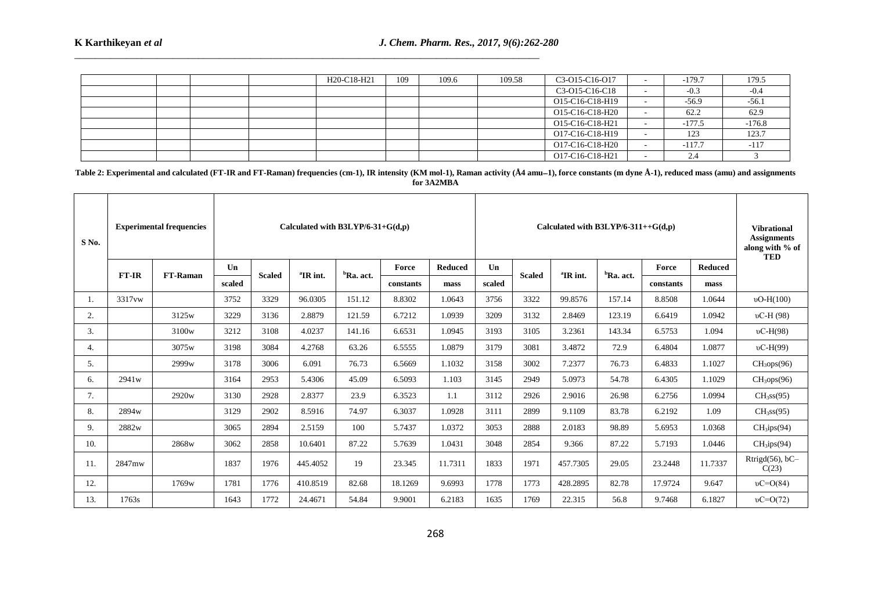٣Ī,

|  |  | H20-C18-H21 | 109 | 109.6 | 109.58 | C3-015-C16-017  | $-179.7$ | 179.5    |
|--|--|-------------|-----|-------|--------|-----------------|----------|----------|
|  |  |             |     |       |        | C3-O15-C16-C18  | $-0.3$   | -0.4     |
|  |  |             |     |       |        | O15-C16-C18-H19 | $-56.9$  | $-56.1$  |
|  |  |             |     |       |        | O15-C16-C18-H20 | 62.2     | 62.9     |
|  |  |             |     |       |        | O15-C16-C18-H21 | $-177.5$ | $-176.8$ |
|  |  |             |     |       |        | O17-C16-C18-H19 | 123      | 123.7    |
|  |  |             |     |       |        | O17-C16-C18-H20 | $-117.7$ | $-117$   |
|  |  |             |     |       |        | O17-C16-C18-H21 | 2.4      |          |

\_\_\_\_\_\_\_\_\_\_\_\_\_\_\_\_\_\_\_\_\_\_\_\_\_\_\_\_\_\_\_\_\_\_\_\_\_\_\_\_\_\_\_\_\_\_\_\_\_\_\_\_\_\_\_\_\_\_\_\_\_\_\_\_\_\_\_\_\_\_\_\_\_\_\_\_\_\_\_\_\_\_\_\_\_\_\_\_\_\_

**Table 2: Experimental and calculated (FT-IR and FT-Raman) frequencies (cm-1), IR intensity (KM mol-1), Raman activity (Å4 amu1), force constants (m dyne Å-1), reduced mass (amu) and assignments for 3A2MBA**

| S <sub>No.</sub> |                   | <b>Experimental frequencies</b> |        |               | Calculated with $B3LYP/6-31+G(d,p)$ |                       |           |                |        |               | Calculated with B3LYP/6-311++ $G(d,p)$ |              |           |                | <b>Vibrational</b><br><b>Assignments</b><br>along with % of<br><b>TED</b> |
|------------------|-------------------|---------------------------------|--------|---------------|-------------------------------------|-----------------------|-----------|----------------|--------|---------------|----------------------------------------|--------------|-----------|----------------|---------------------------------------------------------------------------|
|                  |                   |                                 | Un     |               |                                     |                       | Force     | <b>Reduced</b> | Un     |               |                                        |              | Force     | <b>Reduced</b> |                                                                           |
|                  | <b>FT-IR</b>      | <b>FT-Raman</b>                 | scaled | <b>Scaled</b> | <sup>a</sup> IR int.                | <sup>b</sup> Ra. act. | constants | mass           | scaled | <b>Scaled</b> | <sup>a</sup> IR int.                   | $bRa$ . act. | constants | mass           |                                                                           |
|                  | 3317vw            |                                 | 3752   | 3329          | 96.0305                             | 151.12                | 8.8302    | 1.0643         | 3756   | 3322          | 99.8576                                | 157.14       | 8.8508    | 1.0644         | $vO-H(100)$                                                               |
| 2.               |                   | 3125 <sub>w</sub>               | 3229   | 3136          | 2.8879                              | 121.59                | 6.7212    | 1.0939         | 3209   | 3132          | 2.8469                                 | 123.19       | 6.6419    | 1.0942         | $vC-H(98)$                                                                |
| 3.               |                   | 3100 <sub>w</sub>               | 3212   | 3108          | 4.0237                              | 141.16                | 6.6531    | 1.0945         | 3193   | 3105          | 3.2361                                 | 143.34       | 6.5753    | 1.094          | $vC-H(98)$                                                                |
| 4.               |                   | 3075w                           | 3198   | 3084          | 4.2768                              | 63.26                 | 6.5555    | 1.0879         | 3179   | 3081          | 3.4872                                 | 72.9         | 6.4804    | 1.0877         | $vC-H(99)$                                                                |
| 5.               |                   | 2999w                           | 3178   | 3006          | 6.091                               | 76.73                 | 6.5669    | 1.1032         | 3158   | 3002          | 7.2377                                 | 76.73        | 6.4833    | 1.1027         | CH <sub>3</sub> ops(96)                                                   |
| 6.               | 2941 <sub>w</sub> |                                 | 3164   | 2953          | 5.4306                              | 45.09                 | 6.5093    | 1.103          | 3145   | 2949          | 5.0973                                 | 54.78        | 6.4305    | 1.1029         | CH <sub>3</sub> ops(96)                                                   |
| 7.               |                   | 2920w                           | 3130   | 2928          | 2.8377                              | 23.9                  | 6.3523    | 1.1            | 3112   | 2926          | 2.9016                                 | 26.98        | 6.2756    | 1.0994         | CH <sub>3</sub> ss(95)                                                    |
| 8.               | 2894w             |                                 | 3129   | 2902          | 8.5916                              | 74.97                 | 6.3037    | 1.0928         | 3111   | 2899          | 9.1109                                 | 83.78        | 6.2192    | 1.09           | CH <sub>3</sub> ss(95)                                                    |
| 9.               | 2882w             |                                 | 3065   | 2894          | 2.5159                              | 100                   | 5.7437    | 1.0372         | 3053   | 2888          | 2.0183                                 | 98.89        | 5.6953    | 1.0368         | CH <sub>3</sub> ips(94)                                                   |
| 10.              |                   | 2868w                           | 3062   | 2858          | 10.6401                             | 87.22                 | 5.7639    | 1.0431         | 3048   | 2854          | 9.366                                  | 87.22        | 5.7193    | 1.0446         | CH <sub>3</sub> ips(94)                                                   |
| 11.              | 2847mw            |                                 | 1837   | 1976          | 445.4052                            | 19                    | 23.345    | 11.7311        | 1833   | 1971          | 457.7305                               | 29.05        | 23.2448   | 11.7337        | Rtrigd(56), bC-<br>C(23)                                                  |
| 12.              |                   | 1769w                           | 1781   | 1776          | 410.8519                            | 82.68                 | 18.1269   | 9.6993         | 1778   | 1773          | 428.2895                               | 82.78        | 17.9724   | 9.647          | $vC = O(84)$                                                              |
| 13.              | 1763s             |                                 | 1643   | 1772          | 24.4671                             | 54.84                 | 9.9001    | 6.2183         | 1635   | 1769          | 22.315                                 | 56.8         | 9.7468    | 6.1827         | $vC = O(72)$                                                              |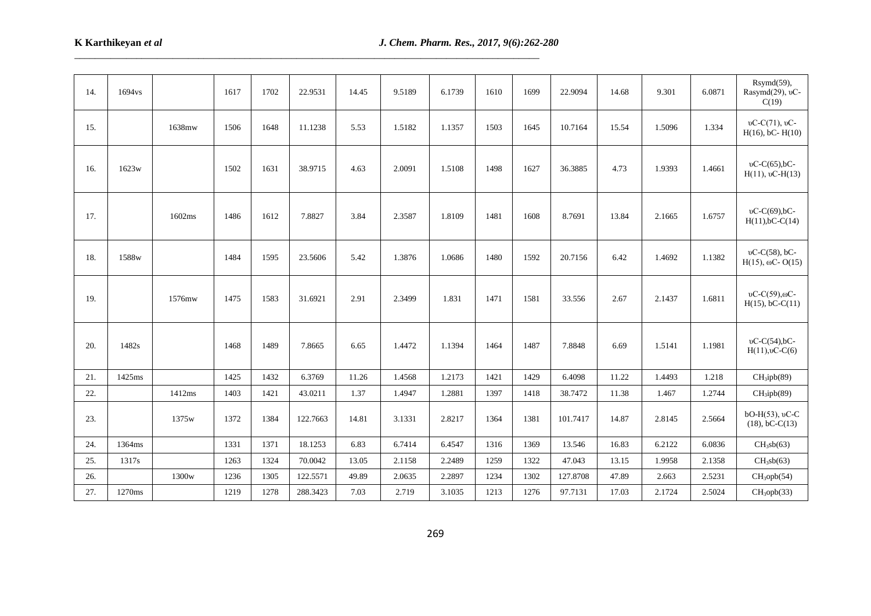| 14. | 1694vs |                   | 1617 | 1702 | 22.9531  | 14.45 | 9.5189 | 6.1739 | 1610 | 1699 | 22.9094  | 14.68 | 9.301  | 6.0871 | Rsymd(59),<br>Rasymd(29), vC-<br>C(19)            |
|-----|--------|-------------------|------|------|----------|-------|--------|--------|------|------|----------|-------|--------|--------|---------------------------------------------------|
| 15. |        | 1638mw            | 1506 | 1648 | 11.1238  | 5.53  | 1.5182 | 1.1357 | 1503 | 1645 | 10.7164  | 15.54 | 1.5096 | 1.334  | $vC-C(71)$ , $vC-$<br>$H(16)$ , bC- $H(10)$       |
| 16. | 1623w  |                   | 1502 | 1631 | 38.9715  | 4.63  | 2.0091 | 1.5108 | 1498 | 1627 | 36.3885  | 4.73  | 1.9393 | 1.4661 | $vC-C(65)$ ,bC-<br>$H(11), vC-H(13)$              |
| 17. |        | 1602ms            | 1486 | 1612 | 7.8827   | 3.84  | 2.3587 | 1.8109 | 1481 | 1608 | 8.7691   | 13.84 | 2.1665 | 1.6757 | vC-C(69),bC-<br>$H(11), bC-C(14)$                 |
| 18. | 1588w  |                   | 1484 | 1595 | 23.5606  | 5.42  | 1.3876 | 1.0686 | 1480 | 1592 | 20.7156  | 6.42  | 1.4692 | 1.1382 | $vC-C(58)$ , bC-<br>$H(15)$ , $\omega$ C-O(15)    |
| 19. |        | 1576mw            | 1475 | 1583 | 31.6921  | 2.91  | 2.3499 | 1.831  | 1471 | 1581 | 33.556   | 2.67  | 2.1437 | 1.6811 | $vC-C(59)$ , $\omega$ C-<br>$H(15)$ , bC-C $(11)$ |
| 20. | 1482s  |                   | 1468 | 1489 | 7.8665   | 6.65  | 1.4472 | 1.1394 | 1464 | 1487 | 7.8848   | 6.69  | 1.5141 | 1.1981 | $vC-C(54)$ ,bC-<br>$H(11), 0C-C(6)$               |
| 21. | 1425ms |                   | 1425 | 1432 | 6.3769   | 11.26 | 1.4568 | 1.2173 | 1421 | 1429 | 6.4098   | 11.22 | 1.4493 | 1.218  | CH <sub>3</sub> ipb(89)                           |
| 22. |        | 1412ms            | 1403 | 1421 | 43.0211  | 1.37  | 1.4947 | 1.2881 | 1397 | 1418 | 38.7472  | 11.38 | 1.467  | 1.2744 | CH <sub>3</sub> ipb(89)                           |
| 23. |        | 1375w             | 1372 | 1384 | 122.7663 | 14.81 | 3.1331 | 2.8217 | 1364 | 1381 | 101.7417 | 14.87 | 2.8145 | 2.5664 | bO-H(53), vC-C<br>$(18)$ , bC-C $(13)$            |
| 24. | 1364ms |                   | 1331 | 1371 | 18.1253  | 6.83  | 6.7414 | 6.4547 | 1316 | 1369 | 13.546   | 16.83 | 6.2122 | 6.0836 | $CH_3sb(63)$                                      |
| 25. | 1317s  |                   | 1263 | 1324 | 70.0042  | 13.05 | 2.1158 | 2.2489 | 1259 | 1322 | 47.043   | 13.15 | 1.9958 | 2.1358 | $CH_3sb(63)$                                      |
| 26. |        | 1300 <sub>w</sub> | 1236 | 1305 | 122.5571 | 49.89 | 2.0635 | 2.2897 | 1234 | 1302 | 127.8708 | 47.89 | 2.663  | 2.5231 | CH <sub>3</sub> opt(54)                           |
| 27. | 1270ms |                   | 1219 | 1278 | 288.3423 | 7.03  | 2.719  | 3.1035 | 1213 | 1276 | 97.7131  | 17.03 | 2.1724 | 2.5024 | CH <sub>3</sub> oph(33)                           |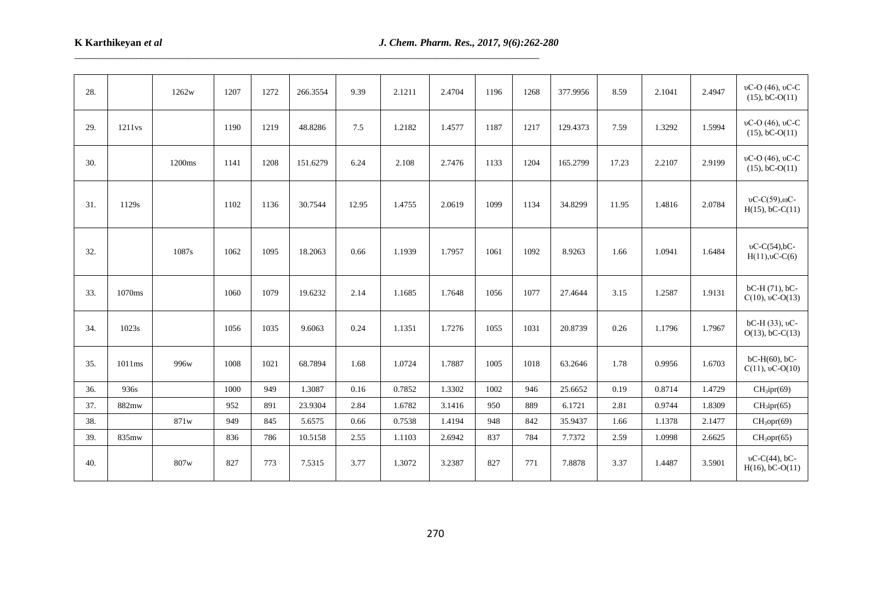| 28. |                    | 1262w  | 1207 | 1272 | 266.3554 | 9.39  | 2.1211 | 2.4704 | 1196 | 1268 | 377.9956 | 8.59  | 2.1041 | 2.4947 | $vC-O(46)$ , $vC-C$<br>$(15)$ , bC-O $(11)$       |
|-----|--------------------|--------|------|------|----------|-------|--------|--------|------|------|----------|-------|--------|--------|---------------------------------------------------|
| 29. | 1211 <sub>vs</sub> |        | 1190 | 1219 | 48.8286  | 7.5   | 1.2182 | 1.4577 | 1187 | 1217 | 129.4373 | 7.59  | 1.3292 | 1.5994 | υC-O (46), υC-C<br>$(15)$ , bC-O $(11)$           |
| 30. |                    | 1200ms | 1141 | 1208 | 151.6279 | 6.24  | 2.108  | 2.7476 | 1133 | 1204 | 165.2799 | 17.23 | 2.2107 | 2.9199 | υC-O (46), υC-C<br>$(15)$ , bC-O $(11)$           |
| 31. | 1129s              |        | 1102 | 1136 | 30.7544  | 12.95 | 1.4755 | 2.0619 | 1099 | 1134 | 34.8299  | 11.95 | 1.4816 | 2.0784 | $vC-C(59)$ , $\omega$ C-<br>$H(15)$ , bC-C $(11)$ |
| 32. |                    | 1087s  | 1062 | 1095 | 18.2063  | 0.66  | 1.1939 | 1.7957 | 1061 | 1092 | 8.9263   | 1.66  | 1.0941 | 1.6484 | $vC-C(54)$ ,bC-<br>$H(11),\nu$ C-C(6)             |
| 33. | 1070ms             |        | 1060 | 1079 | 19.6232  | 2.14  | 1.1685 | 1.7648 | 1056 | 1077 | 27.4644  | 3.15  | 1.2587 | 1.9131 | $bC-H(71)$ , $bC-$<br>$C(10)$ , vC-O(13)          |
| 34. | 1023s              |        | 1056 | 1035 | 9.6063   | 0.24  | 1.1351 | 1.7276 | 1055 | 1031 | 20.8739  | 0.26  | 1.1796 | 1.7967 | $bC-H(33)$ , vC-<br>$O(13)$ , bC-C $(13)$         |
| 35. | 1011ms             | 996w   | 1008 | 1021 | 68.7894  | 1.68  | 1.0724 | 1.7887 | 1005 | 1018 | 63.2646  | 1.78  | 0.9956 | 1.6703 | $bC-H(60)$ , $bC-$<br>$C(11)$ , vC-O(10)          |
| 36. | 936s               |        | 1000 | 949  | 1.3087   | 0.16  | 0.7852 | 1.3302 | 1002 | 946  | 25.6652  | 0.19  | 0.8714 | 1.4729 | CH <sub>3</sub> ipr(69)                           |
| 37. | 882mw              |        | 952  | 891  | 23.9304  | 2.84  | 1.6782 | 3.1416 | 950  | 889  | 6.1721   | 2.81  | 0.9744 | 1.8309 | CH <sub>3</sub> ipr(65)                           |
| 38. |                    | 871w   | 949  | 845  | 5.6575   | 0.66  | 0.7538 | 1.4194 | 948  | 842  | 35.9437  | 1.66  | 1.1378 | 2.1477 | CH <sub>3</sub> opr(69)                           |
| 39. | 835mw              |        | 836  | 786  | 10.5158  | 2.55  | 1.1103 | 2.6942 | 837  | 784  | 7.7372   | 2.59  | 1.0998 | 2.6625 | CH <sub>3</sub> opr(65)                           |
| 40. |                    | 807w   | 827  | 773  | 7.5315   | 3.77  | 1.3072 | 3.2387 | 827  | 771  | 7.8878   | 3.37  | 1.4487 | 3.5901 | $vC-C(44)$ , bC-<br>$H(16)$ , bC-O(11)            |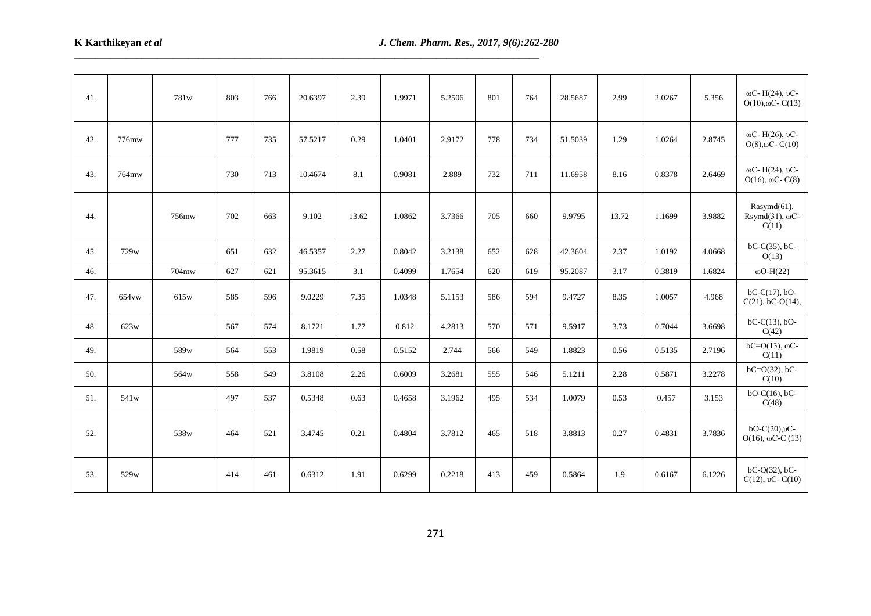| 41. |                  | 781w  | 803 | 766 | 20.6397 | 2.39  | 1.9971 | 5.2506 | 801 | 764 | 28.5687 | 2.99  | 2.0267 | 5.356  | ωC- H(24), υC-<br>$O(10)$ , $O$ C-C $(13)$                                |
|-----|------------------|-------|-----|-----|---------|-------|--------|--------|-----|-----|---------|-------|--------|--------|---------------------------------------------------------------------------|
| 42. | 776mw            |       | 777 | 735 | 57.5217 | 0.29  | 1.0401 | 2.9172 | 778 | 734 | 51.5039 | 1.29  | 1.0264 | 2.8745 | ωC- H(26), υC-<br>$O(8)$ , $\omega$ C-C $(10)$                            |
| 43. | 764mw            |       | 730 | 713 | 10.4674 | 8.1   | 0.9081 | 2.889  | 732 | 711 | 11.6958 | 8.16  | 0.8378 | 2.6469 | $ωC - H(24)$ , υC-<br>$O(16)$ , $\omega$ C-C(8)                           |
| 44. |                  | 756mw | 702 | 663 | 9.102   | 13.62 | 1.0862 | 3.7366 | 705 | 660 | 9.9795  | 13.72 | 1.1699 | 3.9882 | Rasymd(61),<br>Rsymd $(31)$ , $\omega$ C-<br>C(11)                        |
| 45. | 729w             |       | 651 | 632 | 46.5357 | 2.27  | 0.8042 | 3.2138 | 652 | 628 | 42.3604 | 2.37  | 1.0192 | 4.0668 | $bC-C(35)$ , $bC-$<br>O(13)                                               |
| 46. |                  | 704mw | 627 | 621 | 95.3615 | 3.1   | 0.4099 | 1.7654 | 620 | 619 | 95.2087 | 3.17  | 0.3819 | 1.6824 | $\omega$ O-H(22)                                                          |
| 47. | 654vw            | 615w  | 585 | 596 | 9.0229  | 7.35  | 1.0348 | 5.1153 | 586 | 594 | 9.4727  | 8.35  | 1.0057 | 4.968  | $bC-C(17)$ , $bO-$<br>$C(21)$ , bC-O(14),                                 |
| 48. | 623w             |       | 567 | 574 | 8.1721  | 1.77  | 0.812  | 4.2813 | 570 | 571 | 9.5917  | 3.73  | 0.7044 | 3.6698 | $bC-C(13)$ , $bO-$<br>C(42)                                               |
| 49. |                  | 589w  | 564 | 553 | 1.9819  | 0.58  | 0.5152 | 2.744  | 566 | 549 | 1.8823  | 0.56  | 0.5135 | 2.7196 | $bC = O(13)$ , $\omega$ C-<br>C(11)                                       |
| 50. |                  | 564w  | 558 | 549 | 3.8108  | 2.26  | 0.6009 | 3.2681 | 555 | 546 | 5.1211  | 2.28  | 0.5871 | 3.2278 | $bC = O(32)$ , $bC -$<br>C(10)                                            |
| 51. | 541 <sub>w</sub> |       | 497 | 537 | 0.5348  | 0.63  | 0.4658 | 3.1962 | 495 | 534 | 1.0079  | 0.53  | 0.457  | 3.153  | $bO-C(16)$ , $bC-$<br>C(48)                                               |
| 52. |                  | 538w  | 464 | 521 | 3.4745  | 0.21  | 0.4804 | 3.7812 | 465 | 518 | 3.8813  | 0.27  | 0.4831 | 3.7836 | $bO-C(20),$ <sub><math>vC</math></sub> -<br>$O(16)$ , $\omega$ C-C $(13)$ |
| 53. | 529w             |       | 414 | 461 | 0.6312  | 1.91  | 0.6299 | 0.2218 | 413 | 459 | 0.5864  | 1.9   | 0.6167 | 6.1226 | $bC-O(32)$ , $bC-$<br>$C(12)$ , vC- $C(10)$                               |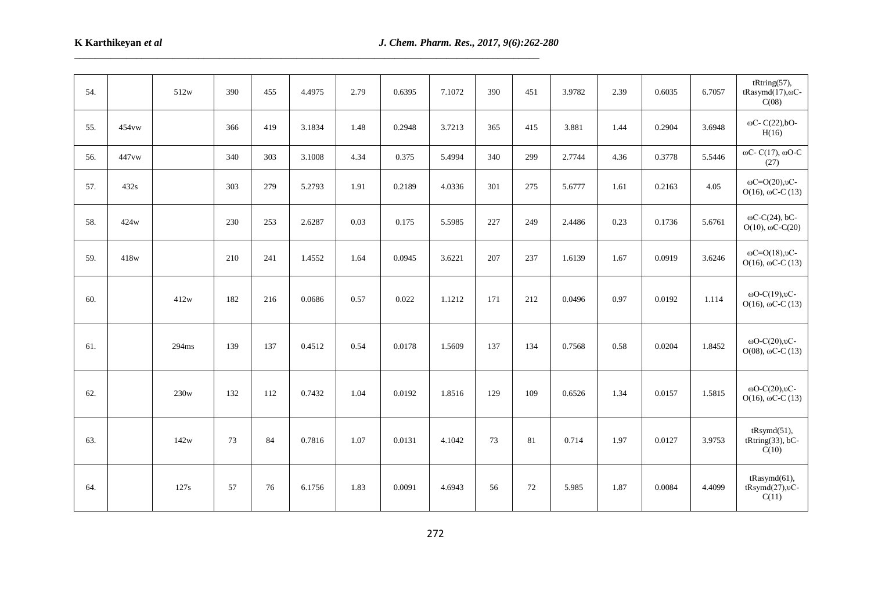| 54. |       | 512w  | 390 | 455 | 4.4975 | 2.79 | 0.6395 | 7.1072 | 390 | 451 | 3.9782 | 2.39 | 0.6035 | 6.7057 | tRting(57),<br>tRasymd $(17)$ , $\omega$ C-<br>C(08)        |
|-----|-------|-------|-----|-----|--------|------|--------|--------|-----|-----|--------|------|--------|--------|-------------------------------------------------------------|
| 55. | 454vw |       | 366 | 419 | 3.1834 | 1.48 | 0.2948 | 3.7213 | 365 | 415 | 3.881  | 1.44 | 0.2904 | 3.6948 | $\omega$ C-C(22), bO-<br>H(16)                              |
| 56. | 447vw |       | 340 | 303 | 3.1008 | 4.34 | 0.375  | 5.4994 | 340 | 299 | 2.7744 | 4.36 | 0.3778 | 5.5446 | $ωC-C(17), ωO-C$<br>(27)                                    |
| 57. | 432s  |       | 303 | 279 | 5.2793 | 1.91 | 0.2189 | 4.0336 | 301 | 275 | 5.6777 | 1.61 | 0.2163 | 4.05   | $\omega$ C=O(20), $\nu$ C-<br>$O(16)$ , $\omega$ C-C $(13)$ |
| 58. | 424w  |       | 230 | 253 | 2.6287 | 0.03 | 0.175  | 5.5985 | 227 | 249 | 2.4486 | 0.23 | 0.1736 | 5.6761 | $\omega$ C-C(24), bC-<br>$O(10)$ , $\omega$ C-C(20)         |
| 59. | 418w  |       | 210 | 241 | 1.4552 | 1.64 | 0.0945 | 3.6221 | 207 | 237 | 1.6139 | 1.67 | 0.0919 | 3.6246 | $\omega$ C=O(18), $\nu$ C-<br>$O(16)$ , $\omega$ C-C (13)   |
| 60. |       | 412w  | 182 | 216 | 0.0686 | 0.57 | 0.022  | 1.1212 | 171 | 212 | 0.0496 | 0.97 | 0.0192 | 1.114  | $\omega$ O-C(19), $\nu$ C-<br>$O(16)$ , $\omega$ C-C $(13)$ |
| 61. |       | 294ms | 139 | 137 | 0.4512 | 0.54 | 0.0178 | 1.5609 | 137 | 134 | 0.7568 | 0.58 | 0.0204 | 1.8452 | $\omega$ O-C(20), $\nu$ C-<br>$O(08)$ , $\omega$ C-C (13)   |
| 62. |       | 230w  | 132 | 112 | 0.7432 | 1.04 | 0.0192 | 1.8516 | 129 | 109 | 0.6526 | 1.34 | 0.0157 | 1.5815 | $\omega$ O-C(20), $\nu$ C-<br>$O(16)$ , $\omega$ C-C (13)   |
| 63. |       | 142w  | 73  | 84  | 0.7816 | 1.07 | 0.0131 | 4.1042 | 73  | 81  | 0.714  | 1.97 | 0.0127 | 3.9753 | tRsymd(51),<br>$tRting(33), bC-$<br>C(10)                   |
| 64. |       | 127s  | 57  | 76  | 6.1756 | 1.83 | 0.0091 | 4.6943 | 56  | 72  | 5.985  | 1.87 | 0.0084 | 4.4099 | $tRasymd(61)$ ,<br>$tRsymd(27),$ <sup>0</sup> C-<br>C(11)   |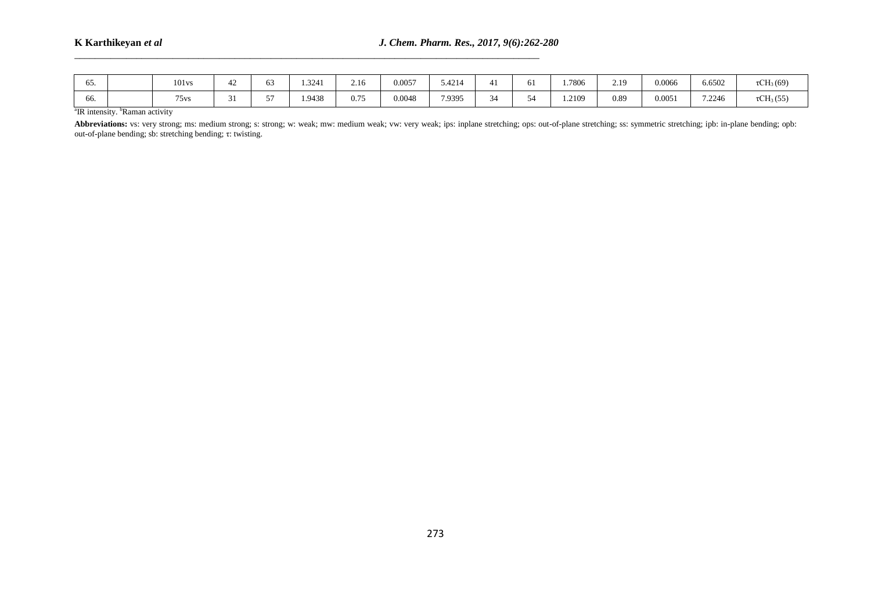| OD. | 101 <sub>vs</sub> | - -<br>D.5 | .3241  | 2.16 | 0.0057 | .4214  |                  | 01 | 1.7806 | 2.19 | 0.0066 | 6.6502 | $\sim$ T<br>$\mathfrak{c}CH_3(69)$    |
|-----|-------------------|------------|--------|------|--------|--------|------------------|----|--------|------|--------|--------|---------------------------------------|
| OO. | 75 <sub>vs</sub>  | $- -$      | 1.9438 | 0.75 | 0.0048 | 7.9395 | $\sim$<br>$\sim$ | ∼ر | 1.2109 | 0.89 | 0.0051 | 7.2246 | $\sim$<br>$\tau$ CH <sub>3</sub> (55) |

<sup>a</sup>IR intensity. <sup>b</sup>Raman activity

Abbreviations: vs: very strong; ms: medium strong; s: strong; w: weak; mw: medium weak; vw: very weak; ips: inplane stretching; ops: out-of-plane stretching; ss: symmetric stretching; ipb: in-plane bending; opb: out-of-plane bending; sb: stretching bending; τ: twisting.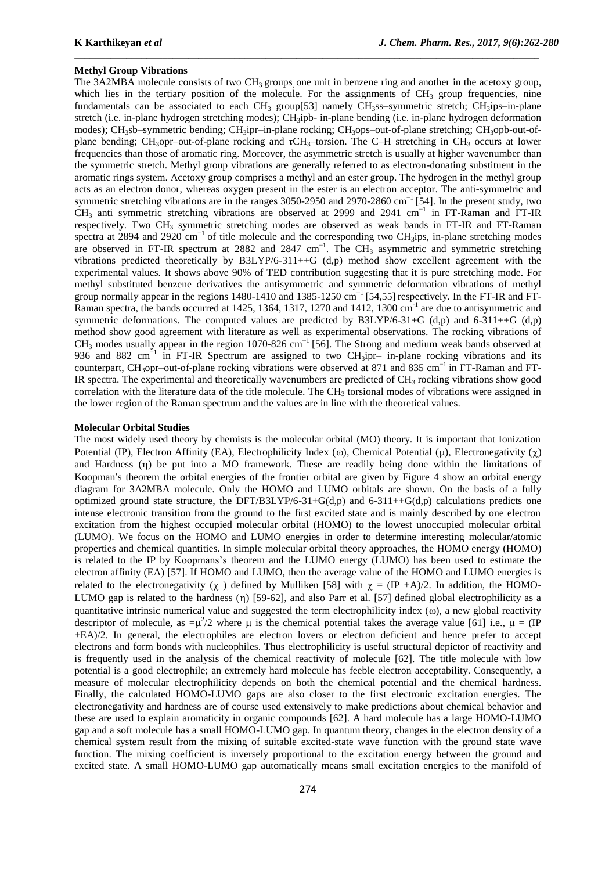### **Methyl Group Vibrations**

The 3A2MBA molecule consists of two  $CH_3$  groups, one unit in benzene ring and another in the acetoxy group, which lies in the tertiary position of the molecule. For the assignments of  $CH_3$  group frequencies, nine fundamentals can be associated to each  $CH_3$  group[53] namely  $CH_3$ ss–symmetric stretch;  $CH_3$ ips–in-plane stretch (i.e. in-plane hydrogen stretching modes); CH<sub>3</sub>ipb- in-plane bending (i.e. in-plane hydrogen deformation modes); CH<sub>3</sub>sb–symmetric bending; CH<sub>3</sub>ipr–in-plane rocking; CH<sub>3</sub>ops–out-of-plane stretching; CH<sub>3</sub>opb-out-ofplane bending; CH<sub>3</sub>opr–out-of-plane rocking and  $\tau$ CH<sub>3</sub>–torsion. The C–H stretching in CH<sub>3</sub> occurs at lower frequencies than those of aromatic ring. Moreover, the asymmetric stretch is usually at higher wavenumber than the symmetric stretch. Methyl group vibrations are generally referred to as electron-donating substituent in the aromatic rings system. Acetoxy group comprises a methyl and an ester group. The hydrogen in the methyl group acts as an electron donor, whereas oxygen present in the ester is an electron acceptor. The anti-symmetric and symmetric stretching vibrations are in the ranges 3050-2950 and 2970-2860 cm<sup>-1</sup> [54]. In the present study, two CH<sup>3</sup> anti symmetric stretching vibrations are observed at 2999 and 2941 cm−1 in FT-Raman and FT-IR respectively. Two  $CH_3$  symmetric stretching modes are observed as weak bands in FT-IR and FT-Raman spectra at 2894 and 2920 cm<sup>-1</sup> of title molecule and the corresponding two CH<sub>3</sub>ips, in-plane stretching modes are observed in FT-IR spectrum at 2882 and 2847 cm<sup>-1</sup>. The CH<sub>3</sub> asymmetric and symmetric stretching vibrations predicted theoretically by B3LYP/6-311++G (d,p) method show excellent agreement with the experimental values. It shows above 90% of TED contribution suggesting that it is pure stretching mode. For methyl substituted benzene derivatives the antisymmetric and symmetric deformation vibrations of methyl group normally appear in the regions 1480-1410 and 1385-1250 cm<sup>-1</sup> [54,55] respectively. In the FT-IR and FT-Raman spectra, the bands occurred at 1425, 1364, 1317, 1270 and 1412, 1300 cm<sup>-1</sup> are due to antisymmetric and symmetric deformations. The computed values are predicted by B3LYP/6-31+G (d,p) and 6-311++G (d,p) method show good agreement with literature as well as experimental observations. The rocking vibrations of CH<sub>3</sub> modes usually appear in the region 1070-826 cm<sup>-1</sup> [56]. The Strong and medium weak bands observed at 936 and 882 cm<sup>-1</sup> in FT-IR Spectrum are assigned to two CH<sub>3</sub>ipr– in-plane rocking vibrations and its counterpart, CH<sub>3</sub>opr–out-of-plane rocking vibrations were observed at 871 and 835 cm<sup>-1</sup> in FT-Raman and FT-IR spectra. The experimental and theoretically wavenumbers are predicted of CH<sup>3</sup> rocking vibrations show good correlation with the literature data of the title molecule. The CH<sub>3</sub> torsional modes of vibrations were assigned in the lower region of the Raman spectrum and the values are in line with the theoretical values.

\_\_\_\_\_\_\_\_\_\_\_\_\_\_\_\_\_\_\_\_\_\_\_\_\_\_\_\_\_\_\_\_\_\_\_\_\_\_\_\_\_\_\_\_\_\_\_\_\_\_\_\_\_\_\_\_\_\_\_\_\_\_\_\_\_\_\_\_\_\_\_\_\_\_\_\_\_\_\_\_\_\_\_\_\_\_\_\_\_\_

## **Molecular Orbital Studies**

The most widely used theory by chemists is the molecular orbital (MO) theory. It is important that Ionization Potential (IP), Electron Affinity (EA), Electrophilicity Index ( $\omega$ ), Chemical Potential ( $\mu$ ), Electronegativity ( $\chi$ ) and Hardness (n) be put into a MO framework. These are readily being done within the limitations of Koopman's theorem the orbital energies of the frontier orbital are given by Figure 4 show an orbital energy diagram for 3A2MBA molecule. Only the HOMO and LUMO orbitals are shown. On the basis of a fully optimized ground state structure, the DFT/B3LYP/6-31+G(d,p) and 6-311++G(d,p) calculations predicts one intense electronic transition from the ground to the first excited state and is mainly described by one electron excitation from the highest occupied molecular orbital (HOMO) to the lowest unoccupied molecular orbital (LUMO). We focus on the HOMO and LUMO energies in order to determine interesting molecular/atomic properties and chemical quantities. In simple molecular orbital theory approaches, the HOMO energy (HOMO) is related to the IP by Koopmans's theorem and the LUMO energy (LUMO) has been used to estimate the electron affinity (EA) [57]. If HOMO and LUMO, then the average value of the HOMO and LUMO energies is related to the electronegativity ( $\chi$ ) defined by Mulliken [58] with  $\chi = (IP +A)/2$ . In addition, the HOMO-LUMO gap is related to the hardness  $(\eta)$  [59-62], and also Parr et al. [57] defined global electrophilicity as a quantitative intrinsic numerical value and suggested the term electrophilicity index ( $\omega$ ), a new global reactivity descriptor of molecule, as  $=\mu^2/2$  where  $\mu$  is the chemical potential takes the average value [61] i.e.,  $\mu = (IP)$ +EA)/2. In general, the electrophiles are electron lovers or electron deficient and hence prefer to accept electrons and form bonds with nucleophiles. Thus electrophilicity is useful structural depictor of reactivity and is frequently used in the analysis of the chemical reactivity of molecule [62]. The title molecule with low potential is a good electrophile; an extremely hard molecule has feeble electron acceptability. Consequently, a measure of molecular electrophilicity depends on both the chemical potential and the chemical hardness. Finally, the calculated HOMO-LUMO gaps are also closer to the first electronic excitation energies. The electronegativity and hardness are of course used extensively to make predictions about chemical behavior and these are used to explain aromaticity in organic compounds [62]. A hard molecule has a large HOMO-LUMO gap and a soft molecule has a small HOMO-LUMO gap. In quantum theory, changes in the electron density of a chemical system result from the mixing of suitable excited-state wave function with the ground state wave function. The mixing coefficient is inversely proportional to the excitation energy between the ground and excited state. A small HOMO-LUMO gap automatically means small excitation energies to the manifold of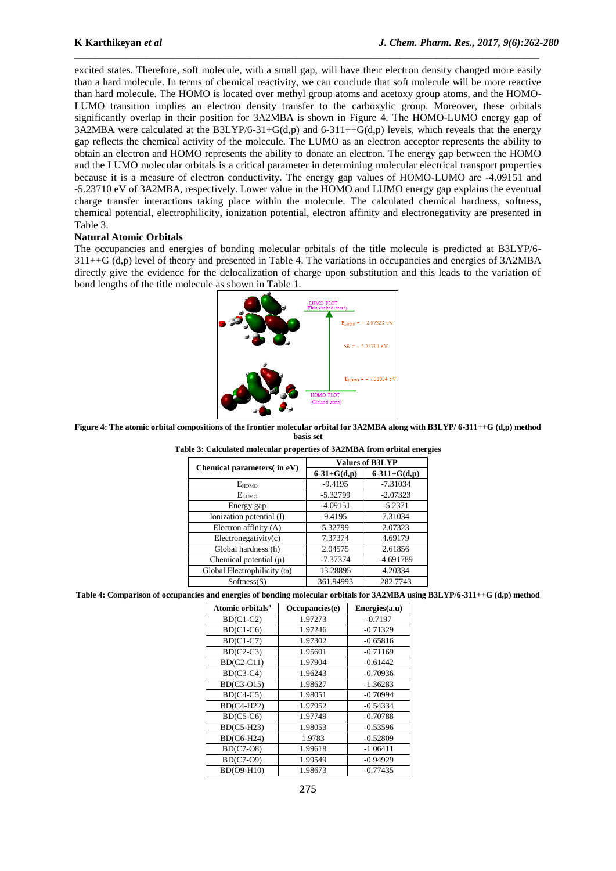excited states. Therefore, soft molecule, with a small gap, will have their electron density changed more easily than a hard molecule. In terms of chemical reactivity, we can conclude that soft molecule will be more reactive than hard molecule. The HOMO is located over methyl group atoms and acetoxy group atoms, and the HOMO-LUMO transition implies an electron density transfer to the carboxylic group. Moreover, these orbitals significantly overlap in their position for 3A2MBA is shown in Figure 4. The HOMO-LUMO energy gap of 3A2MBA were calculated at the B3LYP/6-31+G(d,p) and 6-311++G(d,p) levels, which reveals that the energy gap reflects the chemical activity of the molecule. The LUMO as an electron acceptor represents the ability to obtain an electron and HOMO represents the ability to donate an electron. The energy gap between the HOMO and the LUMO molecular orbitals is a critical parameter in determining molecular electrical transport properties because it is a measure of electron conductivity. The energy gap values of HOMO-LUMO are -4.09151 and -5.23710 eV of 3A2MBA, respectively. Lower value in the HOMO and LUMO energy gap explains the eventual charge transfer interactions taking place within the molecule. The calculated chemical hardness, softness, chemical potential, electrophilicity, ionization potential, electron affinity and electronegativity are presented in Table 3.

\_\_\_\_\_\_\_\_\_\_\_\_\_\_\_\_\_\_\_\_\_\_\_\_\_\_\_\_\_\_\_\_\_\_\_\_\_\_\_\_\_\_\_\_\_\_\_\_\_\_\_\_\_\_\_\_\_\_\_\_\_\_\_\_\_\_\_\_\_\_\_\_\_\_\_\_\_\_\_\_\_\_\_\_\_\_\_\_\_\_

## **Natural Atomic Orbitals**

The occupancies and energies of bonding molecular orbitals of the title molecule is predicted at B3LYP/6- 311++G (d,p) level of theory and presented in Table 4. The variations in occupancies and energies of 3A2MBA directly give the evidence for the delocalization of charge upon substitution and this leads to the variation of bond lengths of the title molecule as shown in Table 1.



**Figure 4: The atomic orbital compositions of the frontier molecular orbital for 3A2MBA along with B3LYP/ 6-311++G (d,p) method basis set**

| Chemical parameters(in eV)         |               | <b>Values of B3LYP</b> |
|------------------------------------|---------------|------------------------|
|                                    | $6-31+G(d,p)$ | $6-311+G(d,p)$         |
| $E_{HOMO}$                         | $-9.4195$     | $-7.31034$             |
| $E_{LUMO}$                         | $-5.32799$    | $-2.07323$             |
| Energy gap                         | $-4.09151$    | $-5.2371$              |
| Ionization potential (I)           | 9.4195        | 7.31034                |
| Electron affinity (A)              | 5.32799       | 2.07323                |
| $Electron$ egativity $(c)$         | 7.37374       | 4.69179                |
| Global hardness (h)                | 2.04575       | 2.61856                |
| Chemical potential $(\mu)$         | $-7.37374$    | -4.691789              |
| Global Electrophilicity $(\omega)$ | 13.28895      | 4.20334                |
| Softness(S)                        | 361.94993     | 282.7743               |

**Table 3: Calculated molecular properties of 3A2MBA from orbital energies**

**Table 4: Comparison of occupancies and energies of bonding molecular orbitals for 3A2MBA using B3LYP/6-311++G (d,p) method**

| Atomic orbitals <sup>a</sup> | Occupancies(e) | Energies(a.u) |
|------------------------------|----------------|---------------|
| $BD(C1-C2)$                  | 1.97273        | $-0.7197$     |
| $BD(C1-C6)$                  | 1.97246        | $-0.71329$    |
| $BD(C1-C7)$                  | 1.97302        | $-0.65816$    |
| $BD(C2-C3)$                  | 1.95601        | $-0.71169$    |
| $BD(C2-C11)$                 | 1.97904        | $-0.61442$    |
| $BD(C3-C4)$                  | 1.96243        | $-0.70936$    |
| BD(C3-O15)                   | 1.98627        | $-1.36283$    |
| $BD(C4-C5)$                  | 1.98051        | $-0.70994$    |
| $BD(C4-H22)$                 | 1.97952        | $-0.54334$    |
| $BD(C5-C6)$                  | 1.97749        | $-0.70788$    |
| BD(C5-H23)                   | 1.98053        | $-0.53596$    |
| <b>BD(C6-H24)</b>            | 1.9783         | $-0.52809$    |
| $BD(C7-08)$                  | 1.99618        | $-1.06411$    |
| <b>BD(C7-O9)</b>             | 1.99549        | $-0.94929$    |
| BD(O9-H10)                   | 1.98673        | $-0.77435$    |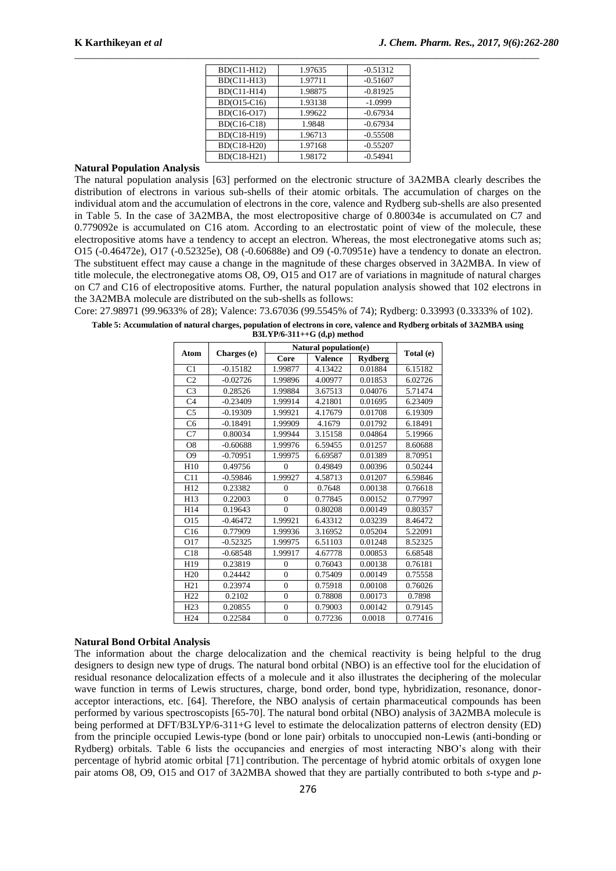| BD(C11-H12)        | 1.97635 | $-0.51312$ |
|--------------------|---------|------------|
| BD(C11-H13)        | 1.97711 | $-0.51607$ |
| BD(C11-H14)        | 1.98875 | $-0.81925$ |
| BD(O15-C16)        | 1.93138 | $-1.0999$  |
| BD(C16-O17)        | 1.99622 | $-0.67934$ |
| <b>BD(C16-C18)</b> | 1.9848  | $-0.67934$ |
| BD(C18-H19)        | 1.96713 | $-0.55508$ |
| BD(C18-H20)        | 1.97168 | $-0.55207$ |
| BD(C18-H21)        | 1.98172 | $-0.54941$ |

# **Natural Population Analysis**

The natural population analysis [63] performed on the electronic structure of 3A2MBA clearly describes the distribution of electrons in various sub-shells of their atomic orbitals. The accumulation of charges on the individual atom and the accumulation of electrons in the core, valence and Rydberg sub-shells are also presented in Table 5. In the case of 3A2MBA, the most electropositive charge of 0.80034e is accumulated on C7 and 0.779092e is accumulated on C16 atom. According to an electrostatic point of view of the molecule, these electropositive atoms have a tendency to accept an electron. Whereas, the most electronegative atoms such as; O15 (-0.46472e), O17 (-0.52325e), O8 (-0.60688e) and O9 (-0.70951e) have a tendency to donate an electron. The substituent effect may cause a change in the magnitude of these charges observed in 3A2MBA. In view of title molecule, the electronegative atoms O8, O9, O15 and O17 are of variations in magnitude of natural charges on C7 and C16 of electropositive atoms. Further, the natural population analysis showed that 102 electrons in the 3A2MBA molecule are distributed on the sub-shells as follows:

Core: 27.98971 (99.9633% of 28); Valence: 73.67036 (99.5545% of 74); Rydberg: 0.33993 (0.3333% of 102).

**Table 5: Accumulation of natural charges, population of electrons in core, valence and Rydberg orbitals of 3A2MBA using** 

**B3LYP/6-311++G (d,p) method**

| <b>Atom</b>     |             |                | Natural population(e) |                | Total (e) |
|-----------------|-------------|----------------|-----------------------|----------------|-----------|
|                 | Charges (e) | Core           | <b>Valence</b>        | <b>Rydberg</b> |           |
| C1              | $-0.15182$  | 1.99877        | 4.13422               | 0.01884        | 6.15182   |
| C <sub>2</sub>  | $-0.02726$  | 1.99896        | 4.00977               | 0.01853        | 6.02726   |
| C <sub>3</sub>  | 0.28526     | 1.99884        | 3.67513               | 0.04076        | 5.71474   |
| C <sub>4</sub>  | $-0.23409$  | 1.99914        | 4.21801               | 0.01695        | 6.23409   |
| C <sub>5</sub>  | $-0.19309$  | 1.99921        | 4.17679               | 0.01708        | 6.19309   |
| C <sub>6</sub>  | $-0.18491$  | 1.99909        | 4.1679                | 0.01792        | 6.18491   |
| C7              | 0.80034     | 1.99944        | 3.15158               | 0.04864        | 5.19966   |
| O <sub>8</sub>  | $-0.60688$  | 1.99976        | 6.59455               | 0.01257        | 8.60688   |
| O <sub>9</sub>  | $-0.70951$  | 1.99975        | 6.69587               | 0.01389        | 8.70951   |
| H <sub>10</sub> | 0.49756     | $\theta$       | 0.49849               | 0.00396        | 0.50244   |
| C11             | $-0.59846$  | 1.99927        | 4.58713               | 0.01207        | 6.59846   |
| H12             | 0.23382     | $\theta$       | 0.7648                | 0.00138        | 0.76618   |
| H13             | 0.22003     | $\theta$       | 0.77845               | 0.00152        | 0.77997   |
| H14             | 0.19643     | $\theta$       | 0.80208               | 0.00149        | 0.80357   |
| O15             | $-0.46472$  | 1.99921        | 6.43312               | 0.03239        | 8.46472   |
| C16             | 0.77909     | 1.99936        | 3.16952               | 0.05204        | 5.22091   |
| O17             | $-0.52325$  | 1.99975        | 6.51103               | 0.01248        | 8.52325   |
| C18             | $-0.68548$  | 1.99917        | 4.67778               | 0.00853        | 6.68548   |
| H19             | 0.23819     | $\theta$       | 0.76043               | 0.00138        | 0.76181   |
| H <sub>20</sub> | 0.24442     | $\theta$       | 0.75409               | 0.00149        | 0.75558   |
| H21             | 0.23974     | $\overline{0}$ | 0.75918               | 0.00108        | 0.76026   |
| H <sub>22</sub> | 0.2102      | $\overline{0}$ | 0.78808               | 0.00173        | 0.7898    |
| H23             | 0.20855     | $\overline{0}$ | 0.79003               | 0.00142        | 0.79145   |
| H <sub>24</sub> | 0.22584     | $\Omega$       | 0.77236               | 0.0018         | 0.77416   |

## **Natural Bond Orbital Analysis**

The information about the charge delocalization and the chemical reactivity is being helpful to the drug designers to design new type of drugs. The natural bond orbital (NBO) is an effective tool for the elucidation of residual resonance delocalization effects of a molecule and it also illustrates the deciphering of the molecular wave function in terms of Lewis structures, charge, bond order, bond type, hybridization, resonance, donoracceptor interactions, etc. [64]. Therefore, the NBO analysis of certain pharmaceutical compounds has been performed by various spectroscopists [65-70]. The natural bond orbital (NBO) analysis of 3A2MBA molecule is being performed at DFT/B3LYP/6-311+G level to estimate the delocalization patterns of electron density (ED) from the principle occupied Lewis-type (bond or lone pair) orbitals to unoccupied non-Lewis (anti-bonding or Rydberg) orbitals. Table 6 lists the occupancies and energies of most interacting NBO's along with their percentage of hybrid atomic orbital [71] contribution. The percentage of hybrid atomic orbitals of oxygen lone pair atoms O8, O9, O15 and O17 of 3A2MBA showed that they are partially contributed to both *s*-type and *p*-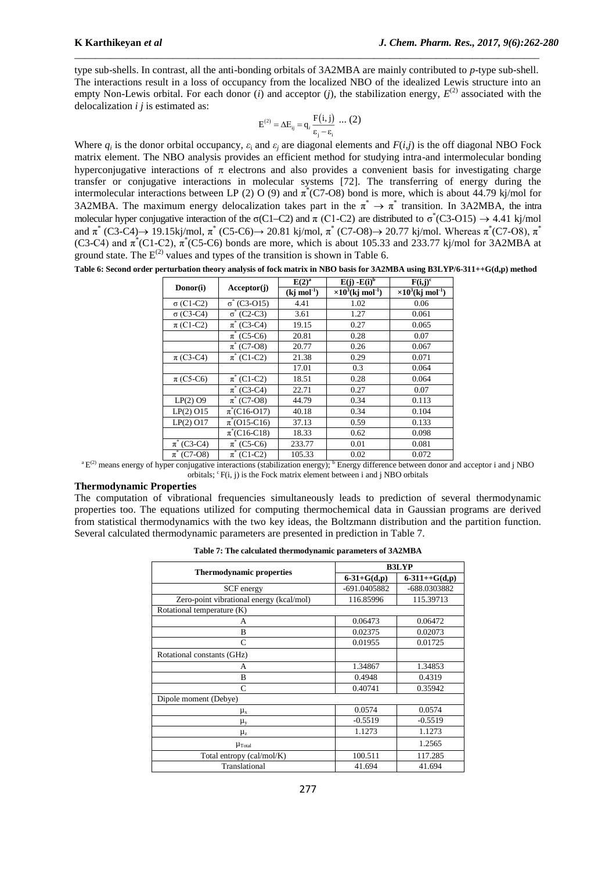type sub-shells. In contrast, all the anti-bonding orbitals of 3A2MBA are mainly contributed to *p*-type sub-shell. The interactions result in a loss of occupancy from the localized NBO of the idealized Lewis structure into an empty Non-Lewis orbital. For each donor  $(i)$  and acceptor  $(j)$ , the stabilization energy,  $E^{(2)}$  associated with the delocalization *i j* is estimated as:

\_\_\_\_\_\_\_\_\_\_\_\_\_\_\_\_\_\_\_\_\_\_\_\_\_\_\_\_\_\_\_\_\_\_\_\_\_\_\_\_\_\_\_\_\_\_\_\_\_\_\_\_\_\_\_\_\_\_\_\_\_\_\_\_\_\_\_\_\_\_\_\_\_\_\_\_\_\_\_\_\_\_\_\_\_\_\_\_\_\_

$$
E^{(2)} = \Delta E_{ij} = q_i \frac{F(i,j)}{\varepsilon_j - \varepsilon_i} \cdots (2)
$$

Where  $q_i$  is the donor orbital occupancy,  $\varepsilon_i$  and  $\varepsilon_j$  are diagonal elements and  $F(i,j)$  is the off diagonal NBO Fock matrix element. The NBO analysis provides an efficient method for studying intra-and intermolecular bonding hyperconjugative interactions of  $\pi$  electrons and also provides a convenient basis for investigating charge transfer or conjugative interactions in molecular systems [72]. The transferring of energy during the intermolecular interactions between LP (2) O (9) and  $\pi^*(C7-08)$  bond is more, which is about 44.79 kj/mol for 3A2MBA. The maximum energy delocalization takes part in the  $\pi^* \to \pi^*$  transition. In 3A2MBA, the intra molecular hyper conjugative interaction of the  $\sigma$ (C1–C2) and  $\pi$  (C1–C2) are distributed to  $\sigma$ <sup>\*</sup>(C3-O15)  $\rightarrow$  4.41 kj/mol and  $\pi^*$  (C3-C4)  $\rightarrow$  19.15kj/mol,  $\pi^*$  (C5-C6)  $\rightarrow$  20.81 kj/mol,  $\pi^*$  (C7-O8)  $\rightarrow$  20.77 kj/mol. Whereas  $\pi^*$ (C7-O8),  $\pi^*$ (C3-C4) and  $\pi^*(C1-C2)$ ,  $\pi^*(C5-C6)$  bonds are more, which is about 105.33 and 233.77 kj/mol for 3A2MBA at ground state. The  $E^{(2)}$  values and types of the transition is shown in Table 6.

|  |  |  |  |  | Table 6: Second order perturbation theory analysis of fock matrix in NBO basis for 3A2MBA using B3LYP/6-311++G(d,p) method |
|--|--|--|--|--|----------------------------------------------------------------------------------------------------------------------------|
|--|--|--|--|--|----------------------------------------------------------------------------------------------------------------------------|

|                        | Acceptor(j)                | $E(2)^a$      | $E(i) - E(i)^b$                       | $F(i,j)^c$                            |
|------------------------|----------------------------|---------------|---------------------------------------|---------------------------------------|
| Donor(i)               |                            | $(kj \mod 1)$ | $\times 10^3$ (kj mol <sup>-1</sup> ) | $\times 10^3$ (kj mol <sup>-1</sup> ) |
| $\sigma$ (C1-C2)       | $\sigma^*(C3-015)$         | 4.41          | 1.02                                  | 0.06                                  |
| $\sigma$ (C3-C4)       | $\sigma^*(C2-C3)$          | 3.61          | 1.27                                  | 0.061                                 |
| $\pi$ (C1-C2)          | $\pi^*$ (C3-C4)            | 19.15         | 0.27                                  | 0.065                                 |
|                        | $\pi^*$ (C5-C6)            | 20.81         | 0.28                                  | 0.07                                  |
|                        | $\overline{\pi}^*(C7-08)$  | 20.77         | 0.26                                  | 0.067                                 |
| $\pi$ (C3-C4)          | $\pi^*$ (C1-C2)            | 21.38         | 0.29                                  | 0.071                                 |
|                        |                            | 17.01         | 0.3                                   | 0.064                                 |
| $\pi$ (C5-C6)          | $\overline{\pi}^*$ (C1-C2) | 18.51         | 0.28                                  | 0.064                                 |
|                        | $\overline{\pi}^*(C3-C4)$  | 22.71         | 0.27                                  | 0.07                                  |
| $LP(2)$ O <sub>9</sub> | $\overline{\pi}^*(C7-08)$  | 44.79         | 0.34                                  | 0.113                                 |
| $LP(2)$ O15            | $\pi^*(C16-017)$           | 40.18         | 0.34                                  | 0.104                                 |
| $LP(2)$ O17            | $\pi^*(015-C16)$           | 37.13         | 0.59                                  | 0.133                                 |
|                        | $\pi^*(C16-C18)$           | 18.33         | 0.62                                  | 0.098                                 |
| $\pi^*$ (C3-C4)        | $\pi^*$ (C5-C6)            | 233.77        | 0.01                                  | 0.081                                 |
| $\pi^*$ (C7-O8)        | $\pi^*$ (C1-C2)            | 105.33        | 0.02                                  | 0.072                                 |

 ${}^{\text{a}}E^{(2)}$  means energy of hyper conjugative interactions (stabilization energy);  ${}^{\text{b}}$  Energy difference between donor and acceptor i and j NBO orbitals;  ${}^{c}F(i, j)$  is the Fock matrix element between i and j NBO orbitals

# **Thermodynamic Properties**

The computation of vibrational frequencies simultaneously leads to prediction of several thermodynamic properties too. The equations utilized for computing thermochemical data in Gaussian programs are derived from statistical thermodynamics with the two key ideas, the Boltzmann distribution and the partition function. Several calculated thermodynamic parameters are presented in prediction in Table 7.

|  |  | Table 7: The calculated thermodynamic parameters of 3A2MBA |  |  |  |
|--|--|------------------------------------------------------------|--|--|--|
|--|--|------------------------------------------------------------|--|--|--|

|                                          | <b>B3LYP</b>      |                 |  |
|------------------------------------------|-------------------|-----------------|--|
| <b>Thermodynamic properties</b>          | $6 - 31 + G(d,p)$ | $6-311++G(d,p)$ |  |
| SCF energy                               | -691.0405882      | -688.0303882    |  |
| Zero-point vibrational energy (kcal/mol) | 116.85996         | 115.39713       |  |
| Rotational temperature (K)               |                   |                 |  |
| А                                        | 0.06473           | 0.06472         |  |
| B                                        | 0.02375           | 0.02073         |  |
| C                                        | 0.01955           | 0.01725         |  |
| Rotational constants (GHz)               |                   |                 |  |
| A                                        | 1.34867           | 1.34853         |  |
| B                                        | 0.4948            | 0.4319          |  |
| $\mathcal{C}$                            | 0.40741           | 0.35942         |  |
| Dipole moment (Debye)                    |                   |                 |  |
| $\mu_{x}$                                | 0.0574            | 0.0574          |  |
| $\mu_y$                                  | $-0.5519$         | $-0.5519$       |  |
| $\mu_{z}$                                | 1.1273            | 1.1273          |  |
| $\mu_{\text{Total}}$                     |                   | 1.2565          |  |
| Total entropy (cal/mol/K)                | 100.511           | 117.285         |  |
| Translational                            | 41.694            | 41.694          |  |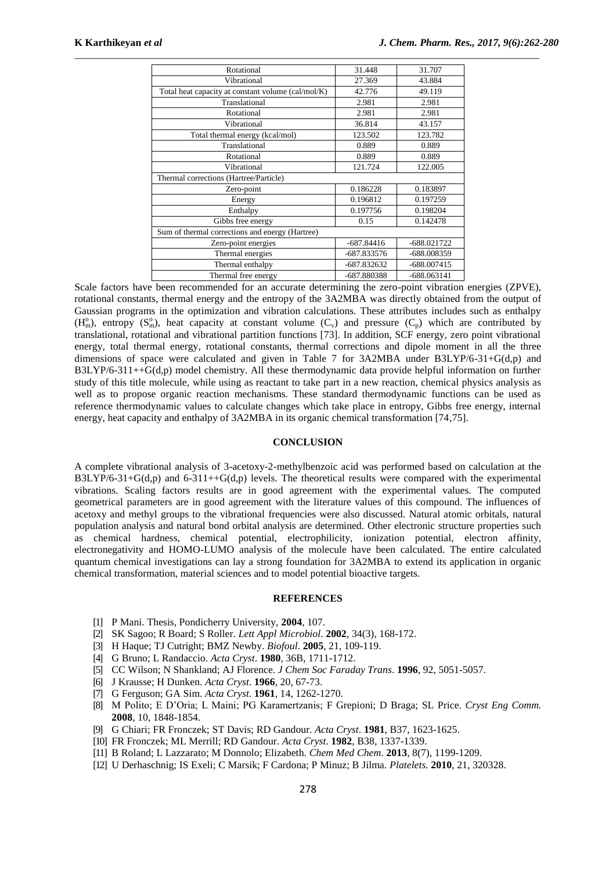| Rotational                                         | 31.448       | 31.707        |
|----------------------------------------------------|--------------|---------------|
| Vibrational                                        | 27.369       | 43.884        |
| Total heat capacity at constant volume (cal/mol/K) | 42.776       | 49.119        |
| Translational                                      | 2.981        | 2.981         |
| Rotational                                         | 2.981        | 2.981         |
| Vibrational                                        | 36.814       | 43.157        |
| Total thermal energy (kcal/mol)                    | 123.502      | 123.782       |
| Translational                                      | 0.889        | 0.889         |
| Rotational                                         | 0.889        | 0.889         |
| Vibrational                                        | 121.724      | 122.005       |
| Thermal corrections (Hartree/Particle)             |              |               |
| Zero-point                                         | 0.186228     | 0.183897      |
| Energy                                             | 0.196812     | 0.197259      |
| Enthalpy                                           | 0.197756     | 0.198204      |
| Gibbs free energy                                  | 0.15         | 0.142478      |
| Sum of thermal corrections and energy (Hartree)    |              |               |
| Zero-point energies                                | $-687.84416$ | $-688.021722$ |
| Thermal energies                                   | -687.833576  | -688.008359   |
| Thermal enthalpy                                   | -687.832632  | $-688.007415$ |
| Thermal free energy                                | -687.880388  | $-688.063141$ |

Scale factors have been recommended for an accurate determining the zero-point vibration energies (ZPVE), rotational constants, thermal energy and the entropy of the 3A2MBA was directly obtained from the output of Gaussian programs in the optimization and vibration calculations. These attributes includes such as enthalpy ( $H_m^0$ ), entropy ( $S_m^0$ ), heat capacity at constant volume ( $C_v$ ) and pressure ( $C_p$ ) which are contributed by translational, rotational and vibrational partition functions [73]. In addition, SCF energy, zero point vibrational energy, total thermal energy, rotational constants, thermal corrections and dipole moment in all the three dimensions of space were calculated and given in Table 7 for  $3A2MBA$  under  $B3LYP/6-31+G(d,p)$  and B3LYP/6-311++G(d,p) model chemistry. All these thermodynamic data provide helpful information on further study of this title molecule, while using as reactant to take part in a new reaction, chemical physics analysis as well as to propose organic reaction mechanisms. These standard thermodynamic functions can be used as reference thermodynamic values to calculate changes which take place in entropy, Gibbs free energy, internal energy, heat capacity and enthalpy of 3A2MBA in its organic chemical transformation [74,75].

### **CONCLUSION**

A complete vibrational analysis of 3-acetoxy-2-methylbenzoic acid was performed based on calculation at the  $B3LYP/6-31+G(d,p)$  and  $6-311++G(d,p)$  levels. The theoretical results were compared with the experimental vibrations. Scaling factors results are in good agreement with the experimental values. The computed geometrical parameters are in good agreement with the literature values of this compound. The influences of acetoxy and methyl groups to the vibrational frequencies were also discussed. Natural atomic orbitals, natural population analysis and natural bond orbital analysis are determined. Other electronic structure properties such as chemical hardness, chemical potential, electrophilicity, ionization potential, electron affinity, electronegativity and HOMO-LUMO analysis of the molecule have been calculated. The entire calculated quantum chemical investigations can lay a strong foundation for 3A2MBA to extend its application in organic chemical transformation, material sciences and to model potential bioactive targets.

#### **REFERENCES**

- [1] P Mani. Thesis, Pondicherry University, **2004**, 107.
- [2] SK Sagoo; R Board; S Roller. *Lett Appl Microbiol*. **2002**, 34(3), 168-172.
- [3] H Haque; TJ Cutright; BMZ Newby. *Biofoul*. **2005**, 21, 109-119.
- [4] G Bruno; L Randaccio. *Acta Cryst*. **1980**, 36B, 1711-1712.
- [5] CC Wilson; N Shankland; AJ Florence. *J Chem Soc Faraday Trans*. **1996**, 92, 5051-5057.
- [6] J Krausse; H Dunken. *Acta Cryst*. **1966**, 20, 67-73.
- [7] G Ferguson; GA Sim. *Acta Cryst*. **1961**, 14, 1262-1270.
- [8] M Polito; E D'Oria; L Maini; PG Karamertzanis; F Grepioni; D Braga; SL Price. *Cryst Eng Comm.* **2008**, 10, 1848-1854.
- [9] G Chiari; FR Fronczek; ST Davis; RD Gandour. *Acta Cryst*. **1981**, B37, 1623-1625.
- [10] FR Fronczek; ML Merrill; RD Gandour. *Acta Cryst*. **1982**, B38, 1337-1339.
- [11] B Roland; L Lazzarato; M Donnolo; Elizabeth. *Chem Med Chem*. **2013**, 8(7), 1199-1209.
- [12] U Derhaschnig; IS Exeli; C Marsik; F Cardona; P Minuz; B Jilma. *Platelets.* **2010**, 21, 320328.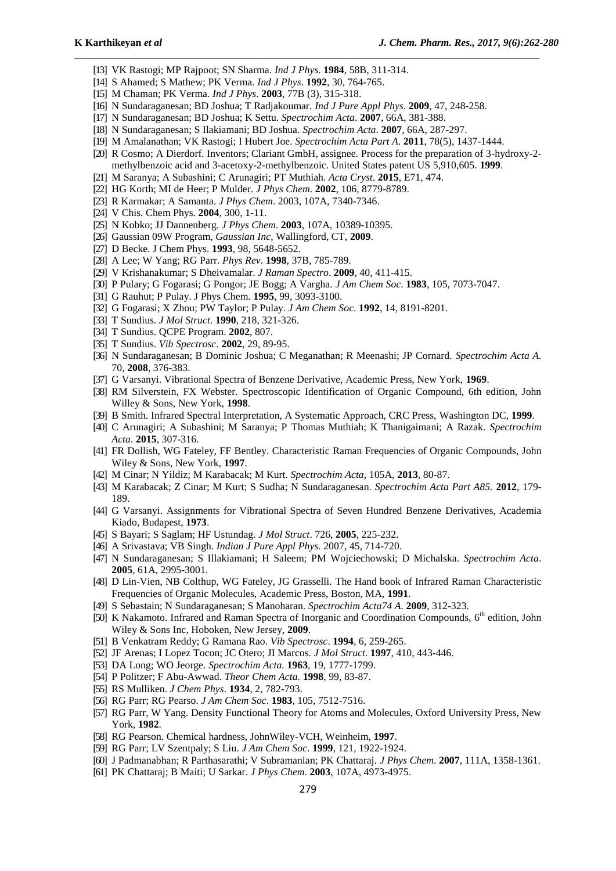- [13] VK Rastogi; MP Rajpoot; SN Sharma. *Ind J Phys*. **1984**, 58B, 311-314.
- [14] S Ahamed; S Mathew; PK Verma. *Ind J Phys*. **1992**, 30, 764-765.
- [15] M Chaman; PK Verma. *Ind J Phys*. **2003**, 77B (3), 315-318.
- [16] N Sundaraganesan; BD Joshua; T Radjakoumar. *Ind J Pure Appl Phys*. **2009**, 47, 248-258.
- [17] N Sundaraganesan; BD Joshua; K Settu. *Spectrochim Acta*. **2007**, 66A, 381-388.
- [18] N Sundaraganesan; S Ilakiamani; BD Joshua. *Spectrochim Acta*. **2007**, 66A, 287-297.
- [19] M Amalanathan; VK Rastogi; I Hubert Joe. *Spectrochim Acta Part A*. **2011**, 78(5), 1437-1444.

- [20] R Cosmo; A Dierdorf. Inventors; Clariant GmbH, assignee. Process for the preparation of 3-hydroxy-2 methylbenzoic acid and 3-acetoxy-2-methylbenzoic. United States patent US 5,910,605. **1999**.
- [21] M Saranya; A Subashini; C Arunagiri; PT Muthiah. *Acta Cryst*. **2015**, E71, 474.
- [22] HG Korth; MI de Heer; P Mulder. *J Phys Chem*. **2002**, 106, 8779-8789.
- [23] R Karmakar; A Samanta. *J Phys Chem*. 2003, 107A, 7340-7346.
- [24] V Chis. Chem Phys. **2004**, 300, 1-11.
- [25] N Kobko; JJ Dannenberg. *J Phys Chem*. **2003**, 107A, 10389-10395.
- [26] Gaussian 09W Program*, Gaussian Inc*, Wallingford, CT, **2009**.
- [27] D Becke. J Chem Phys. **1993**, 98, 5648-5652.
- [28] A Lee; W Yang; RG Parr. *Phys Rev*. **1998**, 37B, 785-789.
- [29] V Krishanakumar; S Dheivamalar. *J Raman Spectro*. **2009**, 40, 411-415.
- [30] P Pulary; G Fogarasi; G Pongor; JE Bogg; A Vargha. *J Am Chem Soc*. **1983**, 105, 7073-7047.
- [31] G Rauhut; P Pulay. J Phys Chem. **1995**, 99, 3093-3100.
- [32] G Fogarasi; X Zhou; PW Taylor; P Pulay. *J Am Chem Soc*. **1992**, 14, 8191-8201.
- [33] T Sundius. *J Mol Struct*. **1990**, 218, 321-326.
- [34] T Sundius. QCPE Program. **2002**, 807.
- [35] T Sundius. *Vib Spectrosc*. **2002**, 29, 89-95.
- [36] N Sundaraganesan; B Dominic Joshua; C Meganathan; R Meenashi; JP Cornard. *Spectrochim Acta A.* 70, **2008**, 376-383.
- [37] G Varsanyi. Vibrational Spectra of Benzene Derivative, Academic Press, New York, **1969**.
- [38] RM Silverstein, FX Webster. Spectroscopic Identification of Organic Compound, 6th edition, John Willey & Sons, New York, **1998**.
- [39] B Smith. Infrared Spectral Interpretation, A Systematic Approach, CRC Press, Washington DC, **1999**.
- [40] C Arunagiri; A Subashini; M Saranya; P Thomas Muthiah; K Thanigaimani; A Razak. *Spectrochim Acta*. **2015**, 307-316.
- [41] FR Dollish, WG Fateley, FF Bentley. Characteristic Raman Frequencies of Organic Compounds, John Wiley & Sons, New York, **1997**.
- [42] M Cinar; N Yildiz; M Karabacak; M Kurt. *Spectrochim Acta*, 105A, **2013**, 80-87.
- [43] M Karabacak; Z Cinar; M Kurt; S Sudha; N Sundaraganesan. *Spectrochim Acta Part A85.* **2012**, 179- 189.
- [44] G Varsanyi. Assignments for Vibrational Spectra of Seven Hundred Benzene Derivatives, Academia Kiado, Budapest, **1973**.
- [45] S Bayari; S Saglam; HF Ustundag. *J Mol Struct*. 726, **2005**, 225-232.
- [46] A Srivastava; VB Singh. *Indian J Pure Appl Phys*. 2007, 45, 714-720.
- [47] N Sundaraganesan; S Illakiamani; H Saleem; PM Wojciechowski; D Michalska. *Spectrochim Acta*. **2005**, 61A, 2995-3001.
- [48] D Lin-Vien, NB Colthup, WG Fateley, JG Grasselli. The Hand book of Infrared Raman Characteristic Frequencies of Organic Molecules, Academic Press, Boston, MA, **1991**.
- [49] S Sebastain; N Sundaraganesan; S Manoharan. *Spectrochim Acta74 A.* **2009**, 312-323.
- [50] K Nakamoto. Infrared and Raman Spectra of Inorganic and Coordination Compounds, 6<sup>th</sup> edition, John Wiley & Sons Inc, Hoboken, New Jersey, **2009**.
- [51] B Venkatram Reddy; G Ramana Rao. *Vib Spectrosc*. **1994**, 6, 259-265.
- [52] JF Arenas; I Lopez Tocon; JC Otero; JI Marcos. *J Mol Struct*. **1997**, 410, 443-446.
- [53] DA Long; WO Jeorge. *Spectrochim Acta.* **1963**, 19, 1777-1799.
- [54] P Politzer; F Abu-Awwad. *Theor Chem Acta.* **1998**, 99, 83-87.
- [55] RS Mulliken. *J Chem Phys*. **1934**, 2, 782-793.
- [56] RG Parr; RG Pearso. *J Am Chem Soc*. **1983**, 105, 7512-7516.
- [57] RG Parr, W Yang. Density Functional Theory for Atoms and Molecules, Oxford University Press, New York, **1982**.
- [58] RG Pearson. Chemical hardness, JohnWiley-VCH, Weinheim, **1997**.
- [59] RG Parr; LV Szentpaly; S Liu. *J Am Chem Soc*. **1999**, 121, 1922-1924.
- [60] J Padmanabhan; R Parthasarathi; V Subramanian; PK Chattaraj. *J Phys Chem*. **2007**, 111A, 1358-1361.
- [61] PK Chattaraj; B Maiti; U Sarkar. *J Phys Chem*. **2003**, 107A, 4973-4975.